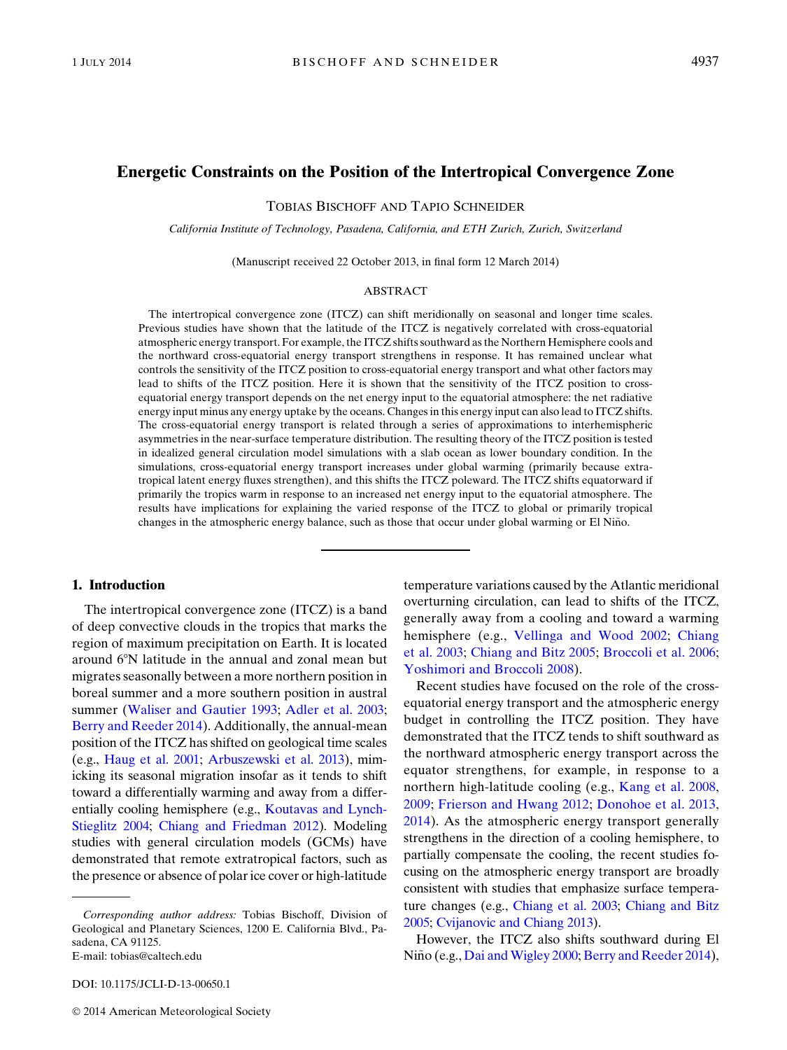# Energetic Constraints on the Position of the Intertropical Convergence Zone

TOBIAS BISCHOFF AND TAPIO SCHNEIDER

California Institute of Technology, Pasadena, California, and ETH Zurich, Zurich, Switzerland

(Manuscript received 22 October 2013, in final form 12 March 2014)

# ABSTRACT

The intertropical convergence zone (ITCZ) can shift meridionally on seasonal and longer time scales. Previous studies have shown that the latitude of the ITCZ is negatively correlated with cross-equatorial atmospheric energy transport. For example, the ITCZ shifts southward as the Northern Hemisphere cools and the northward cross-equatorial energy transport strengthens in response. It has remained unclear what controls the sensitivity of the ITCZ position to cross-equatorial energy transport and what other factors may lead to shifts of the ITCZ position. Here it is shown that the sensitivity of the ITCZ position to crossequatorial energy transport depends on the net energy input to the equatorial atmosphere: the net radiative energy input minus any energy uptake by the oceans. Changes in this energy input can also lead to ITCZ shifts. The cross-equatorial energy transport is related through a series of approximations to interhemispheric asymmetries in the near-surface temperature distribution. The resulting theory of the ITCZ position is tested in idealized general circulation model simulations with a slab ocean as lower boundary condition. In the simulations, cross-equatorial energy transport increases under global warming (primarily because extratropical latent energy fluxes strengthen), and this shifts the ITCZ poleward. The ITCZ shifts equatorward if primarily the tropics warm in response to an increased net energy input to the equatorial atmosphere. The results have implications for explaining the varied response of the ITCZ to global or primarily tropical changes in the atmospheric energy balance, such as those that occur under global warming or El Nino. ~

### 1. Introduction

The intertropical convergence zone (ITCZ) is a band of deep convective clouds in the tropics that marks the region of maximum precipitation on Earth. It is located around 6°N latitude in the annual and zonal mean but migrates seasonally between a more northern position in boreal summer and a more southern position in austral summer ([Waliser and Gautier 1993;](#page-14-0) [Adler et al. 2003;](#page-13-0) [Berry and Reeder 2014\)](#page-13-1). Additionally, the annual-mean position of the ITCZ has shifted on geological time scales (e.g., [Haug et al. 2001;](#page-13-2) [Arbuszewski et al. 2013](#page-13-3)), mimicking its seasonal migration insofar as it tends to shift toward a differentially warming and away from a differentially cooling hemisphere (e.g., [Koutavas and Lynch-](#page-14-1)[Stieglitz 2004](#page-14-1); [Chiang and Friedman 2012\)](#page-13-4). Modeling studies with general circulation models (GCMs) have demonstrated that remote extratropical factors, such as the presence or absence of polar ice cover or high-latitude

DOI: 10.1175/JCLI-D-13-00650.1

2014 American Meteorological Society

temperature variations caused by the Atlantic meridional overturning circulation, can lead to shifts of the ITCZ, generally away from a cooling and toward a warming hemisphere (e.g., [Vellinga and Wood 2002;](#page-14-2) [Chiang](#page-13-5) [et al. 2003;](#page-13-5) [Chiang and Bitz 2005](#page-13-6); [Broccoli et al. 2006;](#page-13-7) [Yoshimori and Broccoli 2008](#page-14-3)).

Recent studies have focused on the role of the crossequatorial energy transport and the atmospheric energy budget in controlling the ITCZ position. They have demonstrated that the ITCZ tends to shift southward as the northward atmospheric energy transport across the equator strengthens, for example, in response to a northern high-latitude cooling (e.g., [Kang et al. 2008,](#page-14-4) [2009](#page-14-5); [Frierson and Hwang 2012;](#page-13-8) [Donohoe et al. 2013,](#page-13-9) [2014](#page-13-10)). As the atmospheric energy transport generally strengthens in the direction of a cooling hemisphere, to partially compensate the cooling, the recent studies focusing on the atmospheric energy transport are broadly consistent with studies that emphasize surface temperature changes (e.g., [Chiang et al. 2003;](#page-13-5) [Chiang and Bitz](#page-13-6) [2005](#page-13-6); [Cvijanovic and Chiang 2013](#page-13-11)).

However, the ITCZ also shifts southward during El Niño (e.g., [Dai and Wigley 2000](#page-13-12); [Berry and Reeder 2014](#page-13-1)),

Corresponding author address: Tobias Bischoff, Division of Geological and Planetary Sciences, 1200 E. California Blvd., Pasadena, CA 91125. E-mail: [tobias@caltech.edu](mailto:tobias@caltech.edu)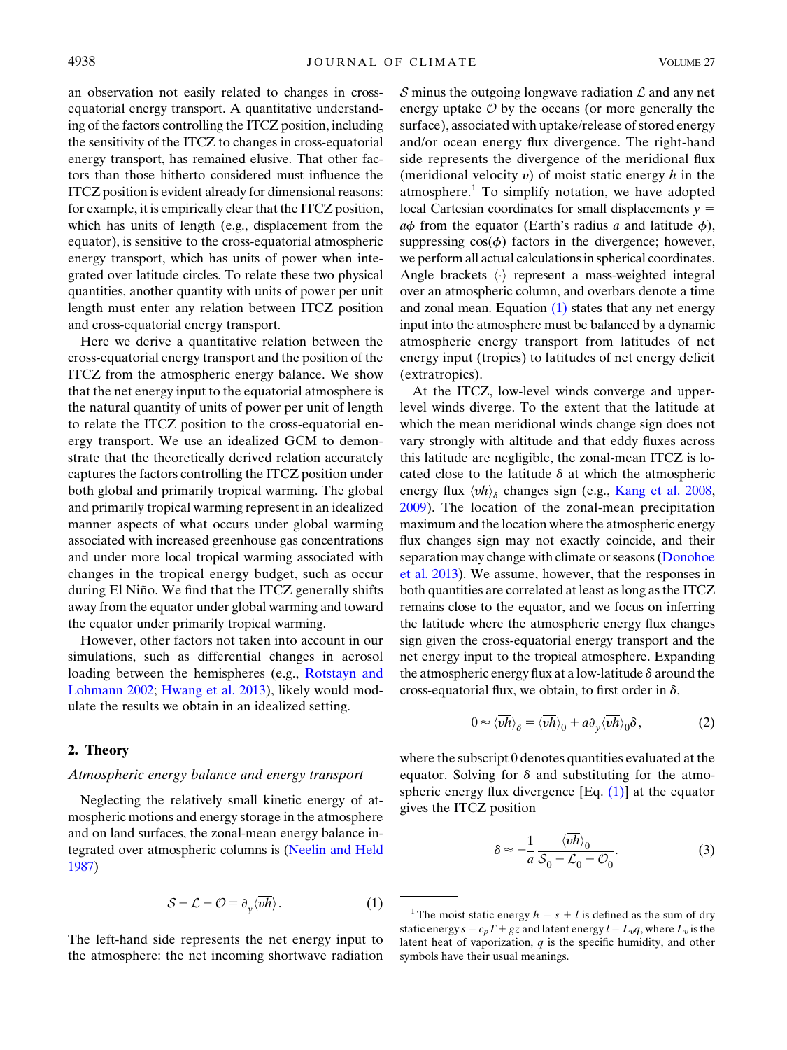an observation not easily related to changes in crossequatorial energy transport. A quantitative understanding of the factors controlling the ITCZ position, including the sensitivity of the ITCZ to changes in cross-equatorial energy transport, has remained elusive. That other factors than those hitherto considered must influence the ITCZ position is evident already for dimensional reasons: for example, it is empirically clear that the ITCZ position, which has units of length (e.g., displacement from the equator), is sensitive to the cross-equatorial atmospheric energy transport, which has units of power when integrated over latitude circles. To relate these two physical quantities, another quantity with units of power per unit length must enter any relation between ITCZ position and cross-equatorial energy transport.

Here we derive a quantitative relation between the cross-equatorial energy transport and the position of the ITCZ from the atmospheric energy balance. We show that the net energy input to the equatorial atmosphere is the natural quantity of units of power per unit of length to relate the ITCZ position to the cross-equatorial energy transport. We use an idealized GCM to demonstrate that the theoretically derived relation accurately captures the factors controlling the ITCZ position under both global and primarily tropical warming. The global and primarily tropical warming represent in an idealized manner aspects of what occurs under global warming associated with increased greenhouse gas concentrations and under more local tropical warming associated with changes in the tropical energy budget, such as occur during El Niño. We find that the ITCZ generally shifts away from the equator under global warming and toward the equator under primarily tropical warming.

However, other factors not taken into account in our simulations, such as differential changes in aerosol loading between the hemispheres (e.g., [Rotstayn and](#page-14-6) [Lohmann 2002;](#page-14-6) [Hwang et al. 2013\)](#page-14-7), likely would modulate the results we obtain in an idealized setting.

### 2. Theory

# Atmospheric energy balance and energy transport

Neglecting the relatively small kinetic energy of atmospheric motions and energy storage in the atmosphere and on land surfaces, the zonal-mean energy balance integrated over atmospheric columns is [\(Neelin and Held](#page-14-8) [1987](#page-14-8))

$$
S - \mathcal{L} - \mathcal{O} = \partial_y \langle \overline{vh} \rangle. \tag{1}
$$

<span id="page-1-0"></span>The left-hand side represents the net energy input to the atmosphere: the net incoming shortwave radiation S minus the outgoing longwave radiation  $\mathcal L$  and any net energy uptake  $\mathcal O$  by the oceans (or more generally the surface), associated with uptake/release of stored energy and/or ocean energy flux divergence. The right-hand side represents the divergence of the meridional flux (meridional velocity  $v$ ) of moist static energy  $h$  in the atmosphere.<sup>1</sup> To simplify notation, we have adopted local Cartesian coordinates for small displacements  $y =$  $a\phi$  from the equator (Earth's radius a and latitude  $\phi$ ), suppressing  $cos(\phi)$  factors in the divergence; however, we perform all actual calculations in spherical coordinates. Angle brackets  $\langle \cdot \rangle$  represent a mass-weighted integral<br>over an atmospheric column, and overbars denote a time over an atmospheric column, and overbars denote a time and zonal mean. Equation  $(1)$  states that any net energy input into the atmosphere must be balanced by a dynamic atmospheric energy transport from latitudes of net energy input (tropics) to latitudes of net energy deficit (extratropics).

At the ITCZ, low-level winds converge and upperlevel winds diverge. To the extent that the latitude at which the mean meridional winds change sign does not vary strongly with altitude and that eddy fluxes across this latitude are negligible, the zonal-mean ITCZ is located close to the latitude  $\delta$  at which the atmospheric energy flux  $\langle vh \rangle_{\delta}$  changes sign (e.g., [Kang et al. 2008,](#page-14-4) [2009](#page-14-5)). The location of the zonal-mean precipitation maximum and the location where the atmospheric energy flux changes sign may not exactly coincide, and their separation may change with climate or seasons [\(Donohoe](#page-13-9) [et al. 2013](#page-13-9)). We assume, however, that the responses in both quantities are correlated at least as long as the ITCZ remains close to the equator, and we focus on inferring the latitude where the atmospheric energy flux changes sign given the cross-equatorial energy transport and the net energy input to the tropical atmosphere. Expanding the atmospheric energy flux at a low-latitude  $\delta$  around the cross-equatorial flux, we obtain, to first order in  $\delta$ ,

$$
0 \approx \langle \overline{vh} \rangle_{\delta} = \langle \overline{vh} \rangle_{0} + a \partial_{y} \langle \overline{vh} \rangle_{0} \delta, \qquad (2)
$$

<span id="page-1-1"></span>where the subscript 0 denotes quantities evaluated at the equator. Solving for  $\delta$  and substituting for the atmospheric energy flux divergence  $[Eq. (1)]$  $[Eq. (1)]$  at the equator gives the ITCZ position

$$
\delta \approx -\frac{1}{a} \frac{\langle v h \rangle_0}{S_0 - \mathcal{L}_0 - \mathcal{O}_0}.
$$
 (3)

<sup>&</sup>lt;sup>1</sup>The moist static energy  $h = s + l$  is defined as the sum of dry static energy  $s = c_pT + gz$  and latent energy  $l = L_vq$ , where  $L_v$  is the latent heat of vaporization,  $q$  is the specific humidity, and other symbols have their usual meanings.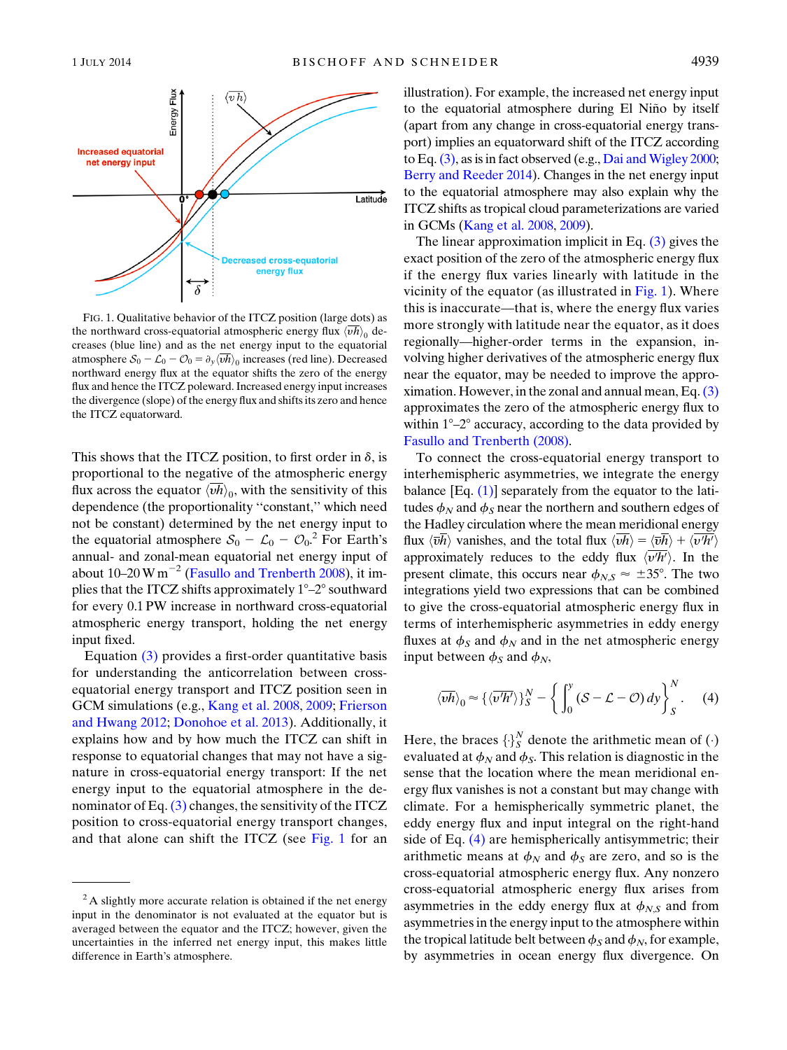<span id="page-2-0"></span>

FIG. 1. Qualitative behavior of the ITCZ position (large dots) as the northward cross-equatorial atmospheric energy flux  $\langle v h \rangle_0$  decreases (blue line) and as the net energy input to the equatorial atmosphere  $S_0 - \mathcal{L}_0 - \mathcal{O}_0 = \partial_y \langle \overline{vh} \rangle_0$  increases (red line). Decreased northward energy flux at the equator shifts the zero of the energy flux and hence the ITCZ poleward. Increased energy input increases the divergence (slope) of the energy flux and shifts its zero and hence the ITCZ equatorward.

This shows that the ITCZ position, to first order in  $\delta$ , is proportional to the negative of the atmospheric energy flux across the equator  $\langle \overline{vh} \rangle_0$ , with the sensitivity of this dependence (the proportionality ''constant,'' which need not be constant) determined by the net energy input to the equatorial atmosphere  $S_0 - \mathcal{L}_0 - \mathcal{O}_0$ .<sup>2</sup> For Earth's annual- and zonal-mean equatorial net energy input of about  $10-20 \text{ W m}^{-2}$  ([Fasullo and Trenberth 2008\)](#page-13-13), it implies that the ITCZ shifts approximately  $1^{\circ}-2^{\circ}$  southward for every 0.1 PW increase in northward cross-equatorial atmospheric energy transport, holding the net energy input fixed.

Equation [\(3\)](#page-1-1) provides a first-order quantitative basis for understanding the anticorrelation between crossequatorial energy transport and ITCZ position seen in GCM simulations (e.g., [Kang et al. 2008,](#page-14-4) [2009;](#page-14-5) [Frierson](#page-13-8) [and Hwang 2012](#page-13-8); [Donohoe et al. 2013\)](#page-13-9). Additionally, it explains how and by how much the ITCZ can shift in response to equatorial changes that may not have a signature in cross-equatorial energy transport: If the net energy input to the equatorial atmosphere in the denominator of Eq.  $(3)$  changes, the sensitivity of the ITCZ position to cross-equatorial energy transport changes, and that alone can shift the ITCZ (see [Fig. 1](#page-2-0) for an illustration). For example, the increased net energy input to the equatorial atmosphere during El Niño by itself (apart from any change in cross-equatorial energy transport) implies an equatorward shift of the ITCZ according to Eq.[\(3\)](#page-1-1), as is in fact observed (e.g., [Dai and Wigley 2000;](#page-13-12) [Berry and Reeder 2014](#page-13-1)). Changes in the net energy input to the equatorial atmosphere may also explain why the ITCZ shifts as tropical cloud parameterizations are varied in GCMs [\(Kang et al. 2008,](#page-14-4) [2009\)](#page-14-5).

The linear approximation implicit in Eq.  $(3)$  gives the exact position of the zero of the atmospheric energy flux if the energy flux varies linearly with latitude in the vicinity of the equator (as illustrated in  $Fig. 1$ ). Where this is inaccurate—that is, where the energy flux varies more strongly with latitude near the equator, as it does regionally—higher-order terms in the expansion, involving higher derivatives of the atmospheric energy flux near the equator, may be needed to improve the approximation. However, in the zonal and annual mean, Eq.  $(3)$ approximates the zero of the atmospheric energy flux to within  $1^\circ$ – $2^\circ$  accuracy, according to the data provided by [Fasullo and Trenberth \(2008\).](#page-13-13)

To connect the cross-equatorial energy transport to interhemispheric asymmetries, we integrate the energy balance  $[Eq. (1)]$  $[Eq. (1)]$  separately from the equator to the latitudes  $\phi_N$  and  $\phi_S$  near the northern and southern edges of the Hadley circulation where the mean meridional energy flux  $\langle \overline{v}h \rangle$  vanishes, and the total flux  $\langle vh \rangle = \langle \overline{v}h \rangle + \langle v'h \rangle$ approximately reduces to the eddy flux  $\langle \overline{v'h'} \rangle$ . In the present climate, this occurs near  $\phi_{N,S} \approx \pm 35^{\circ}$ . The two integrations yield two expressions that can be combined to give the cross-equatorial atmospheric energy flux in terms of interhemispheric asymmetries in eddy energy fluxes at  $\phi_s$  and  $\phi_N$  and in the net atmospheric energy input between  $\phi_S$  and  $\phi_N$ ,

<span id="page-2-1"></span>
$$
\langle \overline{vh} \rangle_0 \approx \{ \langle \overline{v'h'} \rangle \}_S^N - \left\{ \int_0^y (\mathcal{S} - \mathcal{L} - \mathcal{O}) \, dy \right\}_S^N. \tag{4}
$$

Here, the braces  $\{\cdot\}_{S}^{N}$  denote the arithmetic mean of  $(\cdot)$ <br>evaluated at  $\phi_{\lambda}$  and  $\phi_{\lambda}$ . This relation is diagnostic in the evaluated at  $\phi_N$  and  $\phi_S$ . This relation is diagnostic in the sense that the location where the mean meridional energy flux vanishes is not a constant but may change with climate. For a hemispherically symmetric planet, the eddy energy flux and input integral on the right-hand side of Eq. [\(4\)](#page-2-1) are hemispherically antisymmetric; their arithmetic means at  $\phi_N$  and  $\phi_S$  are zero, and so is the cross-equatorial atmospheric energy flux. Any nonzero cross-equatorial atmospheric energy flux arises from asymmetries in the eddy energy flux at  $\phi_{NS}$  and from asymmetries in the energy input to the atmosphere within the tropical latitude belt between  $\phi_S$  and  $\phi_N$ , for example, by asymmetries in ocean energy flux divergence. On

 $2A$  slightly more accurate relation is obtained if the net energy input in the denominator is not evaluated at the equator but is averaged between the equator and the ITCZ; however, given the uncertainties in the inferred net energy input, this makes little difference in Earth's atmosphere.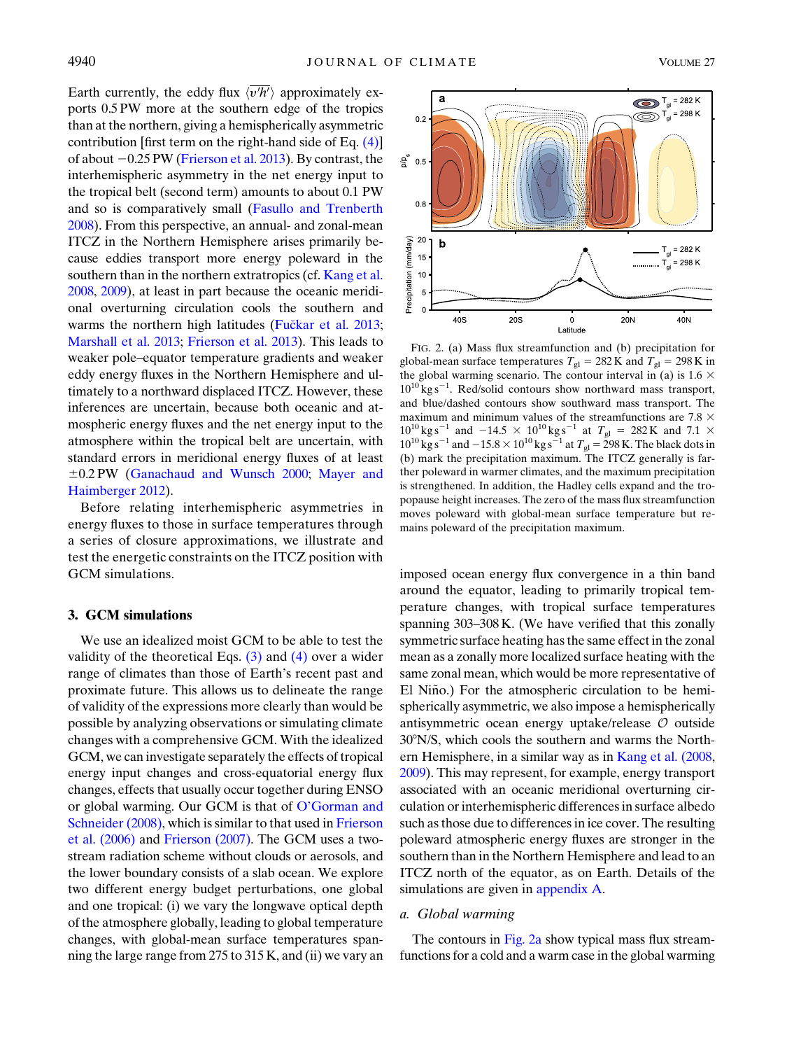Earth currently, the eddy flux  $\langle v'h' \rangle$  approximately ex-<br>ports 0.5 PW more at the southern edge of the tropics ports 0.5 PW more at the southern edge of the tropics than at the northern, giving a hemispherically asymmetric contribution [first term on the right-hand side of Eq.  $(4)$ ] of about  $-0.25$  PW [\(Frierson et al. 2013\)](#page-13-14). By contrast, the interhemispheric asymmetry in the net energy input to the tropical belt (second term) amounts to about 0.1 PW and so is comparatively small [\(Fasullo and Trenberth](#page-13-13) [2008](#page-13-13)). From this perspective, an annual- and zonal-mean ITCZ in the Northern Hemisphere arises primarily because eddies transport more energy poleward in the southern than in the northern extratropics (cf. [Kang et al.](#page-14-4) [2008](#page-14-4), [2009](#page-14-5)), at least in part because the oceanic meridional overturning circulation cools the southern and warms the northern high latitudes (Fučkar et al. 2013; [Marshall et al. 2013;](#page-14-9) [Frierson et al. 2013](#page-13-14)). This leads to weaker pole–equator temperature gradients and weaker eddy energy fluxes in the Northern Hemisphere and ultimately to a northward displaced ITCZ. However, these inferences are uncertain, because both oceanic and atmospheric energy fluxes and the net energy input to the atmosphere within the tropical belt are uncertain, with standard errors in meridional energy fluxes of at least  $\pm 0.2$  PW ([Ganachaud and Wunsch 2000;](#page-13-16) [Mayer and](#page-14-10) [Haimberger 2012](#page-14-10)).

Before relating interhemispheric asymmetries in energy fluxes to those in surface temperatures through a series of closure approximations, we illustrate and test the energetic constraints on the ITCZ position with GCM simulations.

# 3. GCM simulations

We use an idealized moist GCM to be able to test the validity of the theoretical Eqs.  $(3)$  and  $(4)$  over a wider range of climates than those of Earth's recent past and proximate future. This allows us to delineate the range of validity of the expressions more clearly than would be possible by analyzing observations or simulating climate changes with a comprehensive GCM. With the idealized GCM, we can investigate separately the effects of tropical energy input changes and cross-equatorial energy flux changes, effects that usually occur together during ENSO or global warming. Our GCM is that of [O'Gorman and](#page-14-11) [Schneider \(2008\),](#page-14-11) which is similar to that used in [Frierson](#page-13-17) [et al. \(2006\)](#page-13-17) and [Frierson \(2007\).](#page-13-18) The GCM uses a twostream radiation scheme without clouds or aerosols, and the lower boundary consists of a slab ocean. We explore two different energy budget perturbations, one global and one tropical: (i) we vary the longwave optical depth of the atmosphere globally, leading to global temperature changes, with global-mean surface temperatures spanning the large range from 275 to 315 K, and (ii) we vary an

<span id="page-3-0"></span>

FIG. 2. (a) Mass flux streamfunction and (b) precipitation for global-mean surface temperatures  $T_{gl} = 282$  K and  $T_{gl} = 298$  K in the global warming scenario. The contour interval in (a) is 1.6  $\times$  $10^{10}$  kg s<sup>-1</sup>. Red/solid contours show northward mass transport, and blue/dashed contours show southward mass transport. The maximum and minimum values of the streamfunctions are 7.8  $\times$  $10^{10}\,\text{kg}\,\text{s}^{-1}$  and  $-14.5\,\times\,10^{10}\,\text{kg}\,\text{s}^{-1}$  at  $T_{\text{gl}} = 282\,\text{K}$  and  $7.1\,\times\,$  $10^{10}$  kg s<sup>-1</sup> and  $-15.8 \times 10^{10}$  kg s<sup>-1</sup> at  $T_{gl} = 298$  K. The black dots in (b) mark the precipitation maximum. The ITCZ generally is farther poleward in warmer climates, and the maximum precipitation is strengthened. In addition, the Hadley cells expand and the tropopause height increases. The zero of the mass flux streamfunction moves poleward with global-mean surface temperature but remains poleward of the precipitation maximum.

imposed ocean energy flux convergence in a thin band around the equator, leading to primarily tropical temperature changes, with tropical surface temperatures spanning 303–308 K. (We have verified that this zonally symmetric surface heating has the same effect in the zonal mean as a zonally more localized surface heating with the same zonal mean, which would be more representative of El Niño.) For the atmospheric circulation to be hemispherically asymmetric, we also impose a hemispherically antisymmetric ocean energy uptake/release  $\mathcal O$  outside 308N/S, which cools the southern and warms the Northern Hemisphere, in a similar way as in [Kang et al. \(2008,](#page-14-4) [2009\)](#page-14-5). This may represent, for example, energy transport associated with an oceanic meridional overturning circulation or interhemispheric differences in surface albedo such as those due to differences in ice cover. The resulting poleward atmospheric energy fluxes are stronger in the southern than in the Northern Hemisphere and lead to an ITCZ north of the equator, as on Earth. Details of the simulations are given in [appendix A.](#page-10-0)

# a. Global warming

The contours in [Fig. 2a](#page-3-0) show typical mass flux streamfunctions for a cold and a warm case in the global warming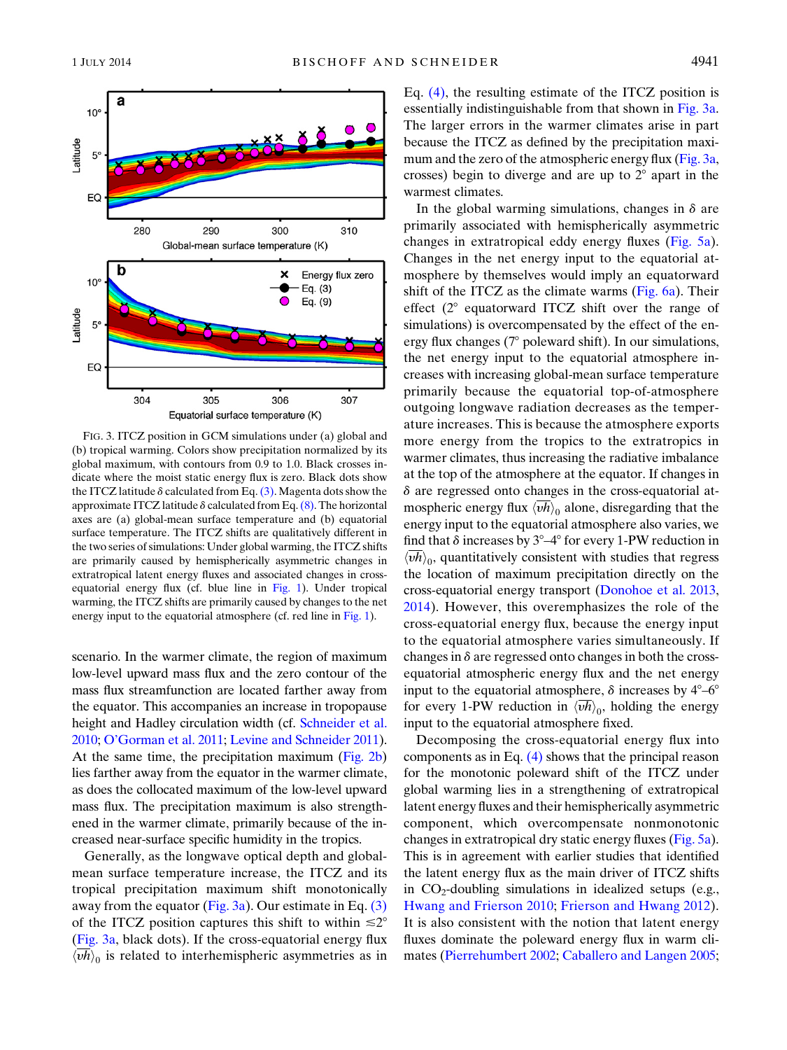<span id="page-4-0"></span>

FIG. 3. ITCZ position in GCM simulations under (a) global and (b) tropical warming. Colors show precipitation normalized by its global maximum, with contours from 0.9 to 1.0. Black crosses indicate where the moist static energy flux is zero. Black dots show the ITCZ latitude  $\delta$  calculated from Eq. [\(3\)](#page-1-1). Magenta dots show the approximate ITCZ latitude  $\delta$  calculated from Eq. [\(8\)](#page-8-1). The horizontal axes are (a) global-mean surface temperature and (b) equatorial surface temperature. The ITCZ shifts are qualitatively different in the two series of simulations: Under global warming, the ITCZ shifts are primarily caused by hemispherically asymmetric changes in extratropical latent energy fluxes and associated changes in crossequatorial energy flux (cf. blue line in [Fig. 1](#page-2-0)). Under tropical warming, the ITCZ shifts are primarily caused by changes to the net energy input to the equatorial atmosphere (cf. red line in [Fig. 1](#page-2-0)).

scenario. In the warmer climate, the region of maximum low-level upward mass flux and the zero contour of the mass flux streamfunction are located farther away from the equator. This accompanies an increase in tropopause height and Hadley circulation width (cf. [Schneider et al.](#page-14-12) [2010](#page-14-12); [O'Gorman et al. 2011](#page-14-13); [Levine and Schneider 2011](#page-14-14)). At the same time, the precipitation maximum [\(Fig. 2b](#page-3-0)) lies farther away from the equator in the warmer climate, as does the collocated maximum of the low-level upward mass flux. The precipitation maximum is also strengthened in the warmer climate, primarily because of the increased near-surface specific humidity in the tropics.

Generally, as the longwave optical depth and globalmean surface temperature increase, the ITCZ and its tropical precipitation maximum shift monotonically away from the equator (Fig.  $3a$ ). Our estimate in Eq.  $(3)$ of the ITCZ position captures this shift to within  $\leq 2^{\circ}$ [\(Fig. 3a](#page-4-0), black dots). If the cross-equatorial energy flux  $\langle vh \rangle_0$  is related to interhemispheric asymmetries as in Eq.  $(4)$ , the resulting estimate of the ITCZ position is essentially indistinguishable from that shown in [Fig. 3a.](#page-4-0) The larger errors in the warmer climates arise in part because the ITCZ as defined by the precipitation maxi-mum and the zero of the atmospheric energy flux [\(Fig. 3a,](#page-4-0) crosses) begin to diverge and are up to  $2^{\circ}$  apart in the warmest climates.

In the global warming simulations, changes in  $\delta$  are primarily associated with hemispherically asymmetric changes in extratropical eddy energy fluxes ([Fig. 5a](#page-6-0)). Changes in the net energy input to the equatorial atmosphere by themselves would imply an equatorward shift of the ITCZ as the climate warms  $(Fig. 6a)$  $(Fig. 6a)$ . Their effect  $(2^{\circ}$  equatorward ITCZ shift over the range of simulations) is overcompensated by the effect of the energy flux changes ( $7^\circ$  poleward shift). In our simulations, the net energy input to the equatorial atmosphere increases with increasing global-mean surface temperature primarily because the equatorial top-of-atmosphere outgoing longwave radiation decreases as the temperature increases. This is because the atmosphere exports more energy from the tropics to the extratropics in warmer climates, thus increasing the radiative imbalance at the top of the atmosphere at the equator. If changes in  $\delta$  are regressed onto changes in the cross-equatorial atmospheric energy flux  $\langle vh \rangle_0$  alone, disregarding that the energy input to the equatorial atmosphere also varies, we find that  $\delta$  increases by  $3^{\circ}-4^{\circ}$  for every 1-PW reduction in  $\langle v h \rangle$ <sub>0</sub>, quantitatively consistent with studies that regress the location of maximum precipitation directly on the cross-equatorial energy transport [\(Donohoe et al. 2013,](#page-13-9) [2014](#page-13-10)). However, this overemphasizes the role of the cross-equatorial energy flux, because the energy input to the equatorial atmosphere varies simultaneously. If changes in  $\delta$  are regressed onto changes in both the crossequatorial atmospheric energy flux and the net energy input to the equatorial atmosphere,  $\delta$  increases by  $4^{\circ}$ –6° for every 1-PW reduction in  $\langle \overline{vh} \rangle_0$ , holding the energy input to the equatorial atmosphere fixed.

Decomposing the cross-equatorial energy flux into components as in Eq. [\(4\)](#page-2-1) shows that the principal reason for the monotonic poleward shift of the ITCZ under global warming lies in a strengthening of extratropical latent energy fluxes and their hemispherically asymmetric component, which overcompensate nonmonotonic changes in extratropical dry static energy fluxes [\(Fig. 5a](#page-6-0)). This is in agreement with earlier studies that identified the latent energy flux as the main driver of ITCZ shifts in  $CO<sub>2</sub>$ -doubling simulations in idealized setups (e.g., [Hwang and Frierson 2010;](#page-14-15) [Frierson and Hwang 2012\)](#page-13-8). It is also consistent with the notion that latent energy fluxes dominate the poleward energy flux in warm climates ([Pierrehumbert 2002;](#page-14-16) [Caballero and Langen 2005;](#page-13-19)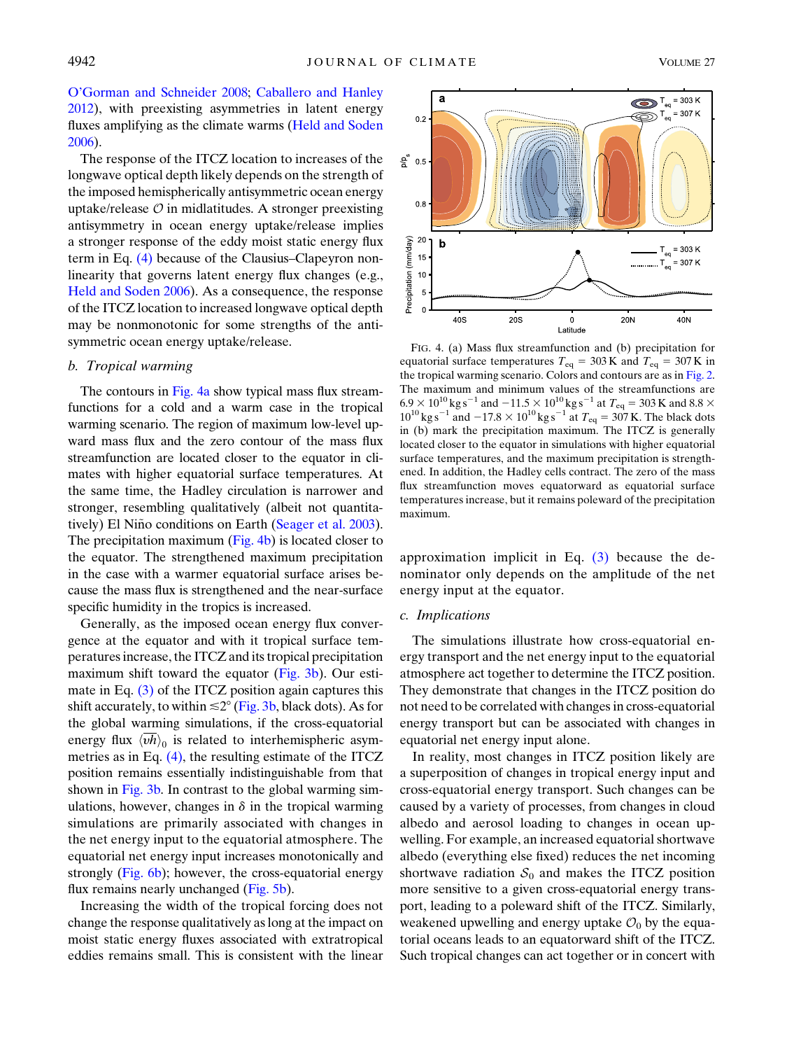[O'Gorman and Schneider 2008](#page-14-11); [Caballero and Hanley](#page-13-20) [2012](#page-13-20)), with preexisting asymmetries in latent energy fluxes amplifying as the climate warms ([Held and Soden](#page-14-17) [2006](#page-14-17)).

The response of the ITCZ location to increases of the longwave optical depth likely depends on the strength of the imposed hemispherically antisymmetric ocean energy uptake/release  $\mathcal O$  in midlatitudes. A stronger preexisting antisymmetry in ocean energy uptake/release implies a stronger response of the eddy moist static energy flux term in Eq. [\(4\)](#page-2-1) because of the Clausius–Clapeyron nonlinearity that governs latent energy flux changes (e.g., [Held and Soden 2006\)](#page-14-17). As a consequence, the response of the ITCZ location to increased longwave optical depth may be nonmonotonic for some strengths of the antisymmetric ocean energy uptake/release.

#### b. Tropical warming

The contours in [Fig. 4a](#page-5-0) show typical mass flux streamfunctions for a cold and a warm case in the tropical warming scenario. The region of maximum low-level upward mass flux and the zero contour of the mass flux streamfunction are located closer to the equator in climates with higher equatorial surface temperatures. At the same time, the Hadley circulation is narrower and stronger, resembling qualitatively (albeit not quantita-tively) El Niño conditions on Earth ([Seager et al. 2003](#page-14-18)). The precipitation maximum ([Fig. 4b](#page-5-0)) is located closer to the equator. The strengthened maximum precipitation in the case with a warmer equatorial surface arises because the mass flux is strengthened and the near-surface specific humidity in the tropics is increased.

Generally, as the imposed ocean energy flux convergence at the equator and with it tropical surface temperatures increase, the ITCZ and its tropical precipitation maximum shift toward the equator ([Fig. 3b](#page-4-0)). Our estimate in Eq.  $(3)$  of the ITCZ position again captures this shift accurately, to within  $\leq 2^{\circ}$  ([Fig. 3b,](#page-4-0) black dots). As for the global warming simulations, if the cross-equatorial energy flux  $\langle \overline{vh} \rangle_0$  is related to interhemispheric asymmetries as in Eq.  $(4)$ , the resulting estimate of the ITCZ position remains essentially indistinguishable from that shown in [Fig. 3b.](#page-4-0) In contrast to the global warming simulations, however, changes in  $\delta$  in the tropical warming simulations are primarily associated with changes in the net energy input to the equatorial atmosphere. The equatorial net energy input increases monotonically and strongly [\(Fig. 6b](#page-8-0)); however, the cross-equatorial energy flux remains nearly unchanged ([Fig. 5b](#page-6-0)).

Increasing the width of the tropical forcing does not change the response qualitatively as long at the impact on moist static energy fluxes associated with extratropical eddies remains small. This is consistent with the linear

<span id="page-5-0"></span>

FIG. 4. (a) Mass flux streamfunction and (b) precipitation for equatorial surface temperatures  $T_{eq} = 303$  K and  $T_{eq} = 307$  K in the tropical warming scenario. Colors and contours are as in [Fig. 2](#page-3-0). The maximum and minimum values of the streamfunctions are  $6.9 \times 10^{10}$  kg s<sup>-1</sup> and  $-11.5 \times 10^{10}$  kg s<sup>-1</sup> at  $T_{eq}$  = 303 K and 8.8  $\times$  $10^{10}$  kg s<sup>-1</sup> and  $-17.8 \times 10^{10}$  kg s<sup>-1</sup> at  $T_{eq} = 307$  K. The black dots in (b) mark the precipitation maximum. The ITCZ is generally located closer to the equator in simulations with higher equatorial surface temperatures, and the maximum precipitation is strengthened. In addition, the Hadley cells contract. The zero of the mass flux streamfunction moves equatorward as equatorial surface temperatures increase, but it remains poleward of the precipitation maximum.

approximation implicit in Eq.  $(3)$  because the denominator only depends on the amplitude of the net energy input at the equator.

#### c. Implications

The simulations illustrate how cross-equatorial energy transport and the net energy input to the equatorial atmosphere act together to determine the ITCZ position. They demonstrate that changes in the ITCZ position do not need to be correlated with changes in cross-equatorial energy transport but can be associated with changes in equatorial net energy input alone.

In reality, most changes in ITCZ position likely are a superposition of changes in tropical energy input and cross-equatorial energy transport. Such changes can be caused by a variety of processes, from changes in cloud albedo and aerosol loading to changes in ocean upwelling. For example, an increased equatorial shortwave albedo (everything else fixed) reduces the net incoming shortwave radiation  $S_0$  and makes the ITCZ position more sensitive to a given cross-equatorial energy transport, leading to a poleward shift of the ITCZ. Similarly, weakened upwelling and energy uptake  $\mathcal{O}_0$  by the equatorial oceans leads to an equatorward shift of the ITCZ. Such tropical changes can act together or in concert with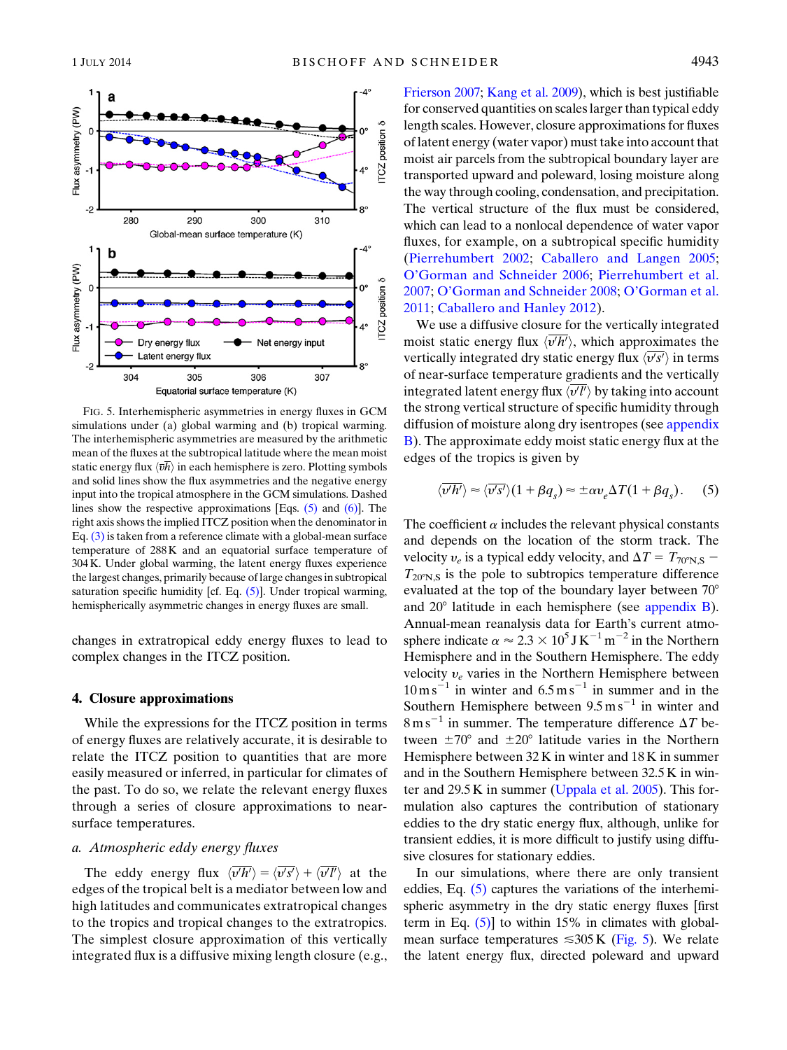<span id="page-6-0"></span>

FIG. 5. Interhemispheric asymmetries in energy fluxes in GCM simulations under (a) global warming and (b) tropical warming. The interhemispheric asymmetries are measured by the arithmetic mean of the fluxes at the subtropical latitude where the mean moist static energy flux  $\langle \overline{v}h \rangle$  in each hemisphere is zero. Plotting symbols and solid lines show the flux asymmetries and the negative energy input into the tropical atmosphere in the GCM simulations. Dashed lines show the respective approximations [Eqs.  $(5)$  and  $(6)$ ]. The right axis shows the implied ITCZ position when the denominator in Eq. [\(3\)](#page-1-1) is taken from a reference climate with a global-mean surface temperature of 288 K and an equatorial surface temperature of 304 K. Under global warming, the latent energy fluxes experience the largest changes, primarily because of large changes in subtropical saturation specific humidity [cf. Eq. [\(5\)\]](#page-6-1). Under tropical warming, hemispherically asymmetric changes in energy fluxes are small.

changes in extratropical eddy energy fluxes to lead to complex changes in the ITCZ position.

#### <span id="page-6-2"></span>4. Closure approximations

While the expressions for the ITCZ position in terms of energy fluxes are relatively accurate, it is desirable to relate the ITCZ position to quantities that are more easily measured or inferred, in particular for climates of the past. To do so, we relate the relevant energy fluxes through a series of closure approximations to nearsurface temperatures.

# a. Atmospheric eddy energy fluxes

The eddy energy flux  $\langle v'h' \rangle = \langle \overline{v's'} \rangle + \langle v'l' \rangle$  at the edges of the tropical belt is a mediator between low and high latitudes and communicates extratropical changes to the tropics and tropical changes to the extratropics. The simplest closure approximation of this vertically integrated flux is a diffusive mixing length closure (e.g.,

[Frierson 2007;](#page-13-18) [Kang et al. 2009](#page-14-5)), which is best justifiable for conserved quantities on scales larger than typical eddy length scales. However, closure approximations for fluxes of latent energy (water vapor) must take into account that moist air parcels from the subtropical boundary layer are transported upward and poleward, losing moisture along the way through cooling, condensation, and precipitation. The vertical structure of the flux must be considered, which can lead to a nonlocal dependence of water vapor fluxes, for example, on a subtropical specific humidity ([Pierrehumbert 2002;](#page-14-16) [Caballero and Langen 2005;](#page-13-19) [O'Gorman and Schneider 2006;](#page-14-19) [Pierrehumbert et al.](#page-14-20) [2007](#page-14-20); [O'Gorman and Schneider 2008;](#page-14-11) [O'Gorman et al.](#page-14-13) [2011](#page-14-13); [Caballero and Hanley 2012\)](#page-13-20).

We use a diffusive closure for the vertically integrated moist static energy flux  $\langle v'h' \rangle$ , which approximates the vertically integrated dry static energy flux  $\langle v'v' \rangle$  in terms vertically integrated dry static energy flux  $\langle v's' \rangle$  in terms<br>of near surface temperature gradients and the vertically of near-surface temperature gradients and the vertically integrated latent energy flux  $\langle v'l' \rangle$  by taking into account<br>the strong vertical structure of specific humidity through the strong vertical structure of specific humidity through diffusion of moisture along dry isentropes (see [appendix](#page-11-0) [B\)](#page-11-0). The approximate eddy moist static energy flux at the edges of the tropics is given by

<span id="page-6-1"></span>
$$
\langle \overline{v'h'} \rangle \approx \langle \overline{v's'} \rangle (1 + \beta q_s) \approx \pm \alpha v_e \Delta T (1 + \beta q_s). \tag{5}
$$

The coefficient  $\alpha$  includes the relevant physical constants and depends on the location of the storm track. The velocity  $v_e$  is a typical eddy velocity, and  $\Delta T = T_{70°\text{N}} \text{ s}$  - $T_{20\text{°NS}}$  is the pole to subtropics temperature difference evaluated at the top of the boundary layer between  $70^{\circ}$ and  $20^{\circ}$  latitude in each hemisphere (see [appendix B](#page-11-0)). Annual-mean reanalysis data for Earth's current atmosphere indicate  $\alpha \approx 2.3 \times 10^5$  J K<sup>-1</sup> m<sup>-2</sup> in the Northern Hemisphere and in the Southern Hemisphere. The eddy velocity  $v_e$  varies in the Northern Hemisphere between  $10 \text{ m s}^{-1}$  in winter and  $6.5 \text{ m s}^{-1}$  in summer and in the Southern Hemisphere between  $9.5 \text{ m s}^{-1}$  in winter and  $8 \text{ m s}^{-1}$  in summer. The temperature difference  $\Delta T$  between  $\pm 70^{\circ}$  and  $\pm 20^{\circ}$  latitude varies in the Northern Hemisphere between 32 K in winter and 18 K in summer and in the Southern Hemisphere between 32.5 K in winter and  $29.5 \text{ K}$  in summer (Uppala et al.  $2005$ ). This formulation also captures the contribution of stationary eddies to the dry static energy flux, although, unlike for transient eddies, it is more difficult to justify using diffusive closures for stationary eddies.

In our simulations, where there are only transient eddies, Eq.  $(5)$  captures the variations of the interhemispheric asymmetry in the dry static energy fluxes [first term in Eq.  $(5)$ ] to within 15% in climates with globalmean surface temperatures  $\leq 305$  K [\(Fig. 5\)](#page-6-0). We relate the latent energy flux, directed poleward and upward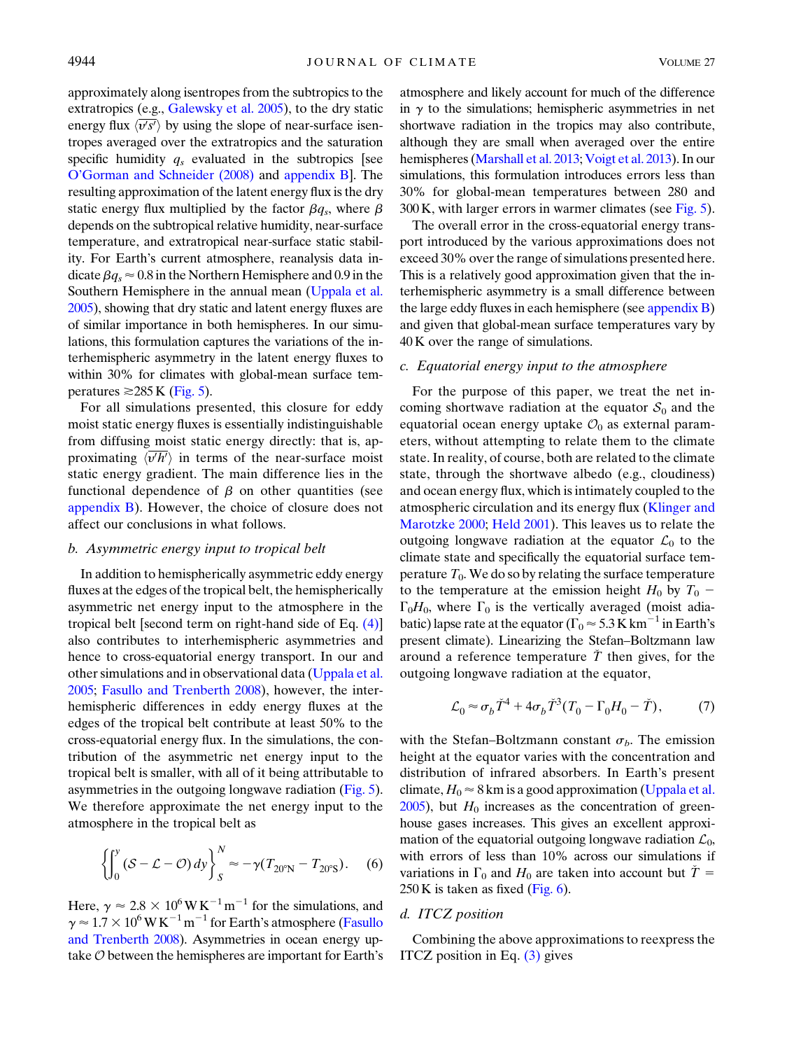approximately along isentropes from the subtropics to the extratropics (e.g., [Galewsky et al. 2005](#page-13-21)), to the dry static energy flux  $\langle v's' \rangle$  by using the slope of near-surface isen-<br>tropes averaged over the extratronics and the saturation tropes averaged over the extratropics and the saturation specific humidity  $q_s$  evaluated in the subtropics [see [O'Gorman and Schneider \(2008\)](#page-14-11) and [appendix B](#page-11-0)]. The resulting approximation of the latent energy flux is the dry static energy flux multiplied by the factor  $\beta q_s$ , where  $\beta$ depends on the subtropical relative humidity, near-surface temperature, and extratropical near-surface static stability. For Earth's current atmosphere, reanalysis data indicate  $\beta q_s \approx 0.8$  in the Northern Hemisphere and 0.9 in the Southern Hemisphere in the annual mean ([Uppala et al.](#page-14-21) [2005](#page-14-21)), showing that dry static and latent energy fluxes are of similar importance in both hemispheres. In our simulations, this formulation captures the variations of the interhemispheric asymmetry in the latent energy fluxes to within 30% for climates with global-mean surface temperatures  $\geq 285$  K [\(Fig. 5](#page-6-0)).

For all simulations presented, this closure for eddy moist static energy fluxes is essentially indistinguishable from diffusing moist static energy directly: that is, approximating  $\langle v'h' \rangle$  in terms of the near-surface moist<br>static energy gradient. The main difference lies in the static energy gradient. The main difference lies in the functional dependence of  $\beta$  on other quantities (see [appendix B\)](#page-11-0). However, the choice of closure does not affect our conclusions in what follows.

#### b. Asymmetric energy input to tropical belt

In addition to hemispherically asymmetric eddy energy fluxes at the edges of the tropical belt, the hemispherically asymmetric net energy input to the atmosphere in the tropical belt [second term on right-hand side of Eq. [\(4\)\]](#page-2-1) also contributes to interhemispheric asymmetries and hence to cross-equatorial energy transport. In our and other simulations and in observational data [\(Uppala et al.](#page-14-21) [2005](#page-14-21); [Fasullo and Trenberth 2008\)](#page-13-13), however, the interhemispheric differences in eddy energy fluxes at the edges of the tropical belt contribute at least 50% to the cross-equatorial energy flux. In the simulations, the contribution of the asymmetric net energy input to the tropical belt is smaller, with all of it being attributable to asymmetries in the outgoing longwave radiation ([Fig. 5](#page-6-0)). We therefore approximate the net energy input to the atmosphere in the tropical belt as

<span id="page-7-0"></span>
$$
\left\{ \int_0^y (\mathcal{S} - \mathcal{L} - \mathcal{O}) \, dy \right\}_S^N \approx -\gamma (T_{20^\circ N} - T_{20^\circ S}). \tag{6}
$$

Here,  $\gamma \approx 2.8 \times 10^6 \text{W K}^{-1} \text{m}^{-1}$  for the simulations, and  $\gamma \approx 1.7 \times 10^6 \,\mathrm{W}\,\mathrm{K}^{-1}\,\mathrm{m}^{-1}$  for Earth's atmosphere [\(Fasullo](#page-13-13) [and Trenberth 2008](#page-13-13)). Asymmetries in ocean energy uptake  $O$  between the hemispheres are important for Earth's atmosphere and likely account for much of the difference in  $\gamma$  to the simulations; hemispheric asymmetries in net shortwave radiation in the tropics may also contribute, although they are small when averaged over the entire hemispheres ([Marshall et al. 2013](#page-14-9); [Voigt et al. 2013\)](#page-14-22). In our simulations, this formulation introduces errors less than 30% for global-mean temperatures between 280 and 300 K, with larger errors in warmer climates (see [Fig. 5](#page-6-0)).

The overall error in the cross-equatorial energy transport introduced by the various approximations does not exceed 30% over the range of simulations presented here. This is a relatively good approximation given that the interhemispheric asymmetry is a small difference between the large eddy fluxes in each hemisphere (see [appendix B\)](#page-11-0) and given that global-mean surface temperatures vary by 40 K over the range of simulations.

# c. Equatorial energy input to the atmosphere

For the purpose of this paper, we treat the net incoming shortwave radiation at the equator  $S_0$  and the equatorial ocean energy uptake  $\mathcal{O}_0$  as external parameters, without attempting to relate them to the climate state. In reality, of course, both are related to the climate state, through the shortwave albedo (e.g., cloudiness) and ocean energy flux, which is intimately coupled to the atmospheric circulation and its energy flux ([Klinger and](#page-14-23) [Marotzke 2000;](#page-14-23) [Held 2001](#page-14-24)). This leaves us to relate the outgoing longwave radiation at the equator  $\mathcal{L}_0$  to the climate state and specifically the equatorial surface temperature  $T_0$ . We do so by relating the surface temperature to the temperature at the emission height  $H_0$  by  $T_0$  –  $\Gamma_0H_0$ , where  $\Gamma_0$  is the vertically averaged (moist adiabatic) lapse rate at the equator ( $\Gamma_0 \approx 5.3 \,\mathrm{K \, km^{-1}}$  in Earth's present climate). Linearizing the Stefan–Boltzmann law around a reference temperature  $\check{T}$  then gives, for the outgoing longwave radiation at the equator,

<span id="page-7-1"></span>
$$
\mathcal{L}_0 \approx \sigma_b \check{T}^4 + 4\sigma_b \check{T}^3 (T_0 - \Gamma_0 H_0 - \check{T}), \tag{7}
$$

with the Stefan–Boltzmann constant  $\sigma_b$ . The emission height at the equator varies with the concentration and distribution of infrared absorbers. In Earth's present climate,  $H_0 \approx 8$  km is a good approximation ([Uppala et al.](#page-14-21)  $2005$ ), but  $H_0$  increases as the concentration of greenhouse gases increases. This gives an excellent approximation of the equatorial outgoing longwave radiation  $\mathcal{L}_0$ , with errors of less than 10% across our simulations if variations in  $\Gamma_0$  and  $H_0$  are taken into account but  $\tilde{T} =$  $250$  K is taken as fixed [\(Fig. 6\)](#page-8-0).

# d. ITCZ position

Combining the above approximations to reexpress the ITCZ position in Eq.  $(3)$  gives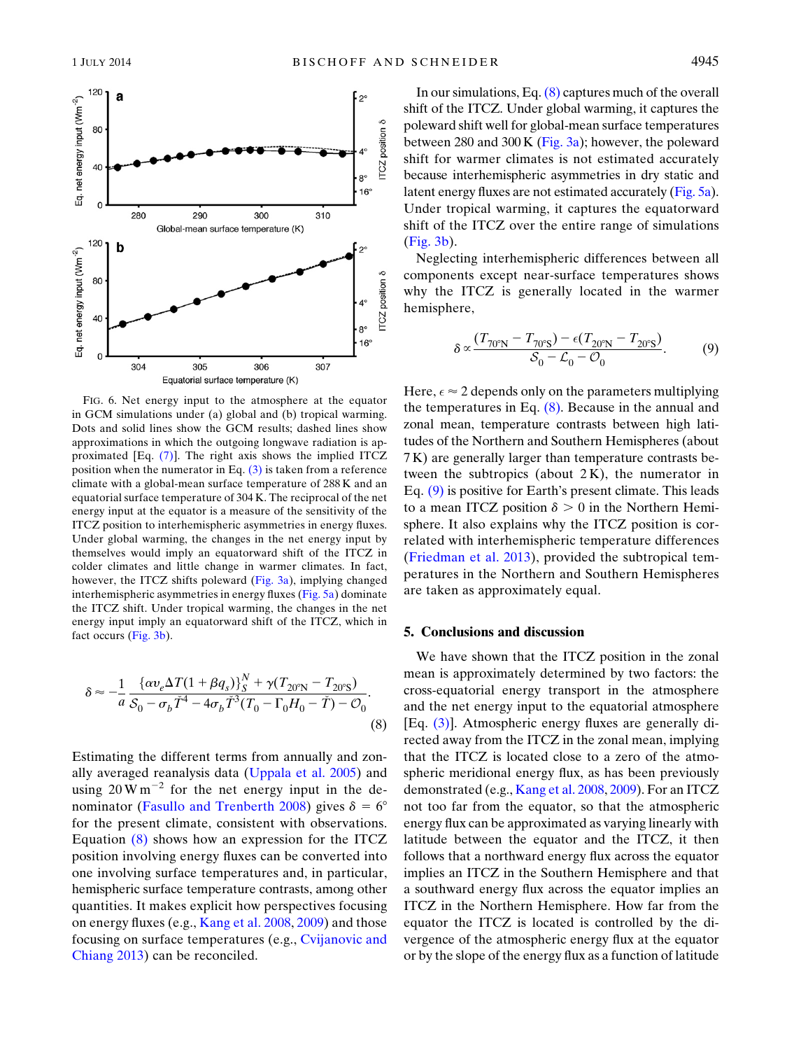<span id="page-8-0"></span>

FIG. 6. Net energy input to the atmosphere at the equator in GCM simulations under (a) global and (b) tropical warming. Dots and solid lines show the GCM results; dashed lines show approximations in which the outgoing longwave radiation is approximated [Eq.  $(7)$ ]. The right axis shows the implied ITCZ position when the numerator in Eq.  $(3)$  is taken from a reference climate with a global-mean surface temperature of 288 K and an equatorial surface temperature of 304 K. The reciprocal of the net energy input at the equator is a measure of the sensitivity of the ITCZ position to interhemispheric asymmetries in energy fluxes. Under global warming, the changes in the net energy input by themselves would imply an equatorward shift of the ITCZ in colder climates and little change in warmer climates. In fact, however, the ITCZ shifts poleward ([Fig. 3a](#page-4-0)), implying changed interhemispheric asymmetries in energy fluxes ([Fig. 5a\)](#page-6-0) dominate the ITCZ shift. Under tropical warming, the changes in the net energy input imply an equatorward shift of the ITCZ, which in fact occurs [\(Fig. 3b](#page-4-0)).

<span id="page-8-1"></span>
$$
\delta \approx -\frac{1}{a} \frac{\{\alpha v_e \Delta T (1 + \beta q_s)\}_S^N + \gamma (T_{20^\circ N} - T_{20^\circ S})}{\mathcal{S}_0 - \sigma_b \check{T}^4 - 4\sigma_b \check{T}^3 (T_0 - \Gamma_0 H_0 - \check{T}) - \mathcal{O}_0}.
$$
\n(8)

Estimating the different terms from annually and zonally averaged reanalysis data [\(Uppala et al. 2005\)](#page-14-21) and using  $20 \text{ W m}^{-2}$  for the net energy input in the de-nominator ([Fasullo and Trenberth 2008\)](#page-13-13) gives  $\delta = 6^{\circ}$ for the present climate, consistent with observations. Equation [\(8\)](#page-8-1) shows how an expression for the ITCZ position involving energy fluxes can be converted into one involving surface temperatures and, in particular, hemispheric surface temperature contrasts, among other quantities. It makes explicit how perspectives focusing on energy fluxes (e.g., [Kang et al. 2008,](#page-14-4) [2009](#page-14-5)) and those focusing on surface temperatures (e.g., [Cvijanovic and](#page-13-11) [Chiang 2013\)](#page-13-11) can be reconciled.

In our simulations, Eq.[\(8\)](#page-8-1) captures much of the overall shift of the ITCZ. Under global warming, it captures the poleward shift well for global-mean surface temperatures between 280 and 300 K [\(Fig. 3a](#page-4-0)); however, the poleward shift for warmer climates is not estimated accurately because interhemispheric asymmetries in dry static and latent energy fluxes are not estimated accurately [\(Fig. 5a](#page-6-0)). Under tropical warming, it captures the equatorward shift of the ITCZ over the entire range of simulations ([Fig. 3b](#page-4-0)).

<span id="page-8-2"></span>Neglecting interhemispheric differences between all components except near-surface temperatures shows why the ITCZ is generally located in the warmer hemisphere,

$$
\delta \propto \frac{(T_{70°N} - T_{70°S}) - \epsilon (T_{20°N} - T_{20°S})}{S_0 - \mathcal{L}_0 - \mathcal{O}_0}.
$$
 (9)

Here,  $\epsilon \approx 2$  depends only on the parameters multiplying the temperatures in Eq.  $(8)$ . Because in the annual and zonal mean, temperature contrasts between high latitudes of the Northern and Southern Hemispheres (about 7 K) are generally larger than temperature contrasts between the subtropics (about  $2K$ ), the numerator in Eq. [\(9\)](#page-8-2) is positive for Earth's present climate. This leads to a mean ITCZ position  $\delta > 0$  in the Northern Hemisphere. It also explains why the ITCZ position is correlated with interhemispheric temperature differences ([Friedman et al. 2013](#page-13-22)), provided the subtropical temperatures in the Northern and Southern Hemispheres are taken as approximately equal.

### 5. Conclusions and discussion

We have shown that the ITCZ position in the zonal mean is approximately determined by two factors: the cross-equatorial energy transport in the atmosphere and the net energy input to the equatorial atmosphere [Eq. [\(3\)](#page-1-1)]. Atmospheric energy fluxes are generally directed away from the ITCZ in the zonal mean, implying that the ITCZ is located close to a zero of the atmospheric meridional energy flux, as has been previously demonstrated (e.g., [Kang et al. 2008](#page-14-4), [2009](#page-14-5)). For an ITCZ not too far from the equator, so that the atmospheric energy flux can be approximated as varying linearly with latitude between the equator and the ITCZ, it then follows that a northward energy flux across the equator implies an ITCZ in the Southern Hemisphere and that a southward energy flux across the equator implies an ITCZ in the Northern Hemisphere. How far from the equator the ITCZ is located is controlled by the divergence of the atmospheric energy flux at the equator or by the slope of the energy flux as a function of latitude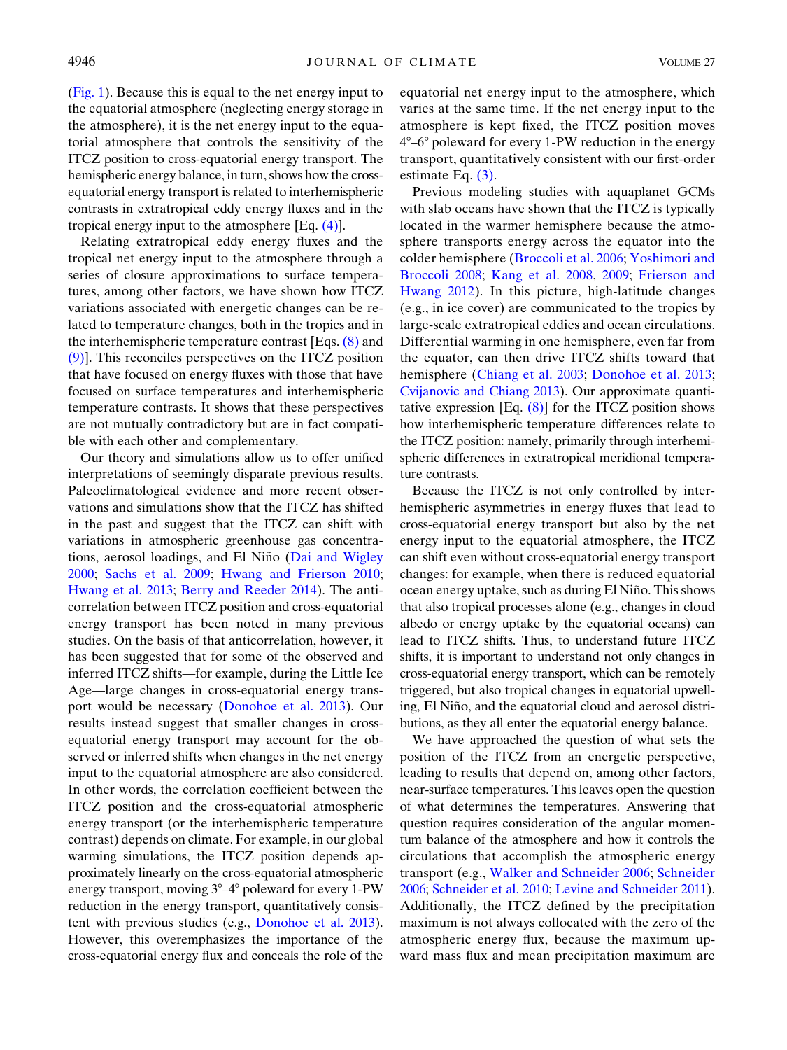([Fig. 1](#page-2-0)). Because this is equal to the net energy input to the equatorial atmosphere (neglecting energy storage in the atmosphere), it is the net energy input to the equatorial atmosphere that controls the sensitivity of the ITCZ position to cross-equatorial energy transport. The hemispheric energy balance, in turn, shows how the crossequatorial energy transport is related to interhemispheric contrasts in extratropical eddy energy fluxes and in the tropical energy input to the atmosphere  $[Eq. (4)].$  $[Eq. (4)].$  $[Eq. (4)].$ 

Relating extratropical eddy energy fluxes and the tropical net energy input to the atmosphere through a series of closure approximations to surface temperatures, among other factors, we have shown how ITCZ variations associated with energetic changes can be related to temperature changes, both in the tropics and in the interhemispheric temperature contrast  $[Eqs. (8)$  $[Eqs. (8)$  and [\(9\)\]](#page-8-2). This reconciles perspectives on the ITCZ position that have focused on energy fluxes with those that have focused on surface temperatures and interhemispheric temperature contrasts. It shows that these perspectives are not mutually contradictory but are in fact compatible with each other and complementary.

Our theory and simulations allow us to offer unified interpretations of seemingly disparate previous results. Paleoclimatological evidence and more recent observations and simulations show that the ITCZ has shifted in the past and suggest that the ITCZ can shift with variations in atmospheric greenhouse gas concentrations, aerosol loadings, and El Niño ( $\overline{Dai}$  and Wigley [2000;](#page-13-12) [Sachs et al. 2009;](#page-14-25) [Hwang and Frierson 2010;](#page-14-15) [Hwang et al. 2013;](#page-14-7) [Berry and Reeder 2014](#page-13-1)). The anticorrelation between ITCZ position and cross-equatorial energy transport has been noted in many previous studies. On the basis of that anticorrelation, however, it has been suggested that for some of the observed and inferred ITCZ shifts—for example, during the Little Ice Age—large changes in cross-equatorial energy transport would be necessary [\(Donohoe et al. 2013](#page-13-9)). Our results instead suggest that smaller changes in crossequatorial energy transport may account for the observed or inferred shifts when changes in the net energy input to the equatorial atmosphere are also considered. In other words, the correlation coefficient between the ITCZ position and the cross-equatorial atmospheric energy transport (or the interhemispheric temperature contrast) depends on climate. For example, in our global warming simulations, the ITCZ position depends approximately linearly on the cross-equatorial atmospheric energy transport, moving  $3^{\circ} - 4^{\circ}$  poleward for every 1-PW reduction in the energy transport, quantitatively consistent with previous studies (e.g., [Donohoe et al. 2013](#page-13-9)). However, this overemphasizes the importance of the cross-equatorial energy flux and conceals the role of the equatorial net energy input to the atmosphere, which varies at the same time. If the net energy input to the atmosphere is kept fixed, the ITCZ position moves  $4^{\circ}$ –6 $^{\circ}$  poleward for every 1-PW reduction in the energy transport, quantitatively consistent with our first-order estimate Eq. [\(3\).](#page-1-1)

Previous modeling studies with aquaplanet GCMs with slab oceans have shown that the ITCZ is typically located in the warmer hemisphere because the atmosphere transports energy across the equator into the colder hemisphere ([Broccoli et al. 2006](#page-13-7); [Yoshimori and](#page-14-3) [Broccoli 2008](#page-14-3); [Kang et al. 2008](#page-14-4), [2009](#page-14-5); [Frierson and](#page-13-8) [Hwang 2012\)](#page-13-8). In this picture, high-latitude changes (e.g., in ice cover) are communicated to the tropics by large-scale extratropical eddies and ocean circulations. Differential warming in one hemisphere, even far from the equator, can then drive ITCZ shifts toward that hemisphere ([Chiang et al. 2003;](#page-13-5) [Donohoe et al. 2013;](#page-13-9) [Cvijanovic and Chiang 2013](#page-13-11)). Our approximate quantitative expression  $[Eq. (8)]$  $[Eq. (8)]$  for the ITCZ position shows how interhemispheric temperature differences relate to the ITCZ position: namely, primarily through interhemispheric differences in extratropical meridional temperature contrasts.

Because the ITCZ is not only controlled by interhemispheric asymmetries in energy fluxes that lead to cross-equatorial energy transport but also by the net energy input to the equatorial atmosphere, the ITCZ can shift even without cross-equatorial energy transport changes: for example, when there is reduced equatorial ocean energy uptake, such as during El Nino. This shows ~ that also tropical processes alone (e.g., changes in cloud albedo or energy uptake by the equatorial oceans) can lead to ITCZ shifts. Thus, to understand future ITCZ shifts, it is important to understand not only changes in cross-equatorial energy transport, which can be remotely triggered, but also tropical changes in equatorial upwelling, El Niño, and the equatorial cloud and aerosol distributions, as they all enter the equatorial energy balance.

We have approached the question of what sets the position of the ITCZ from an energetic perspective, leading to results that depend on, among other factors, near-surface temperatures. This leaves open the question of what determines the temperatures. Answering that question requires consideration of the angular momentum balance of the atmosphere and how it controls the circulations that accomplish the atmospheric energy transport (e.g., [Walker and Schneider 2006](#page-14-26); [Schneider](#page-14-27) [2006;](#page-14-27) [Schneider et al. 2010](#page-14-12); [Levine and Schneider 2011](#page-14-14)). Additionally, the ITCZ defined by the precipitation maximum is not always collocated with the zero of the atmospheric energy flux, because the maximum upward mass flux and mean precipitation maximum are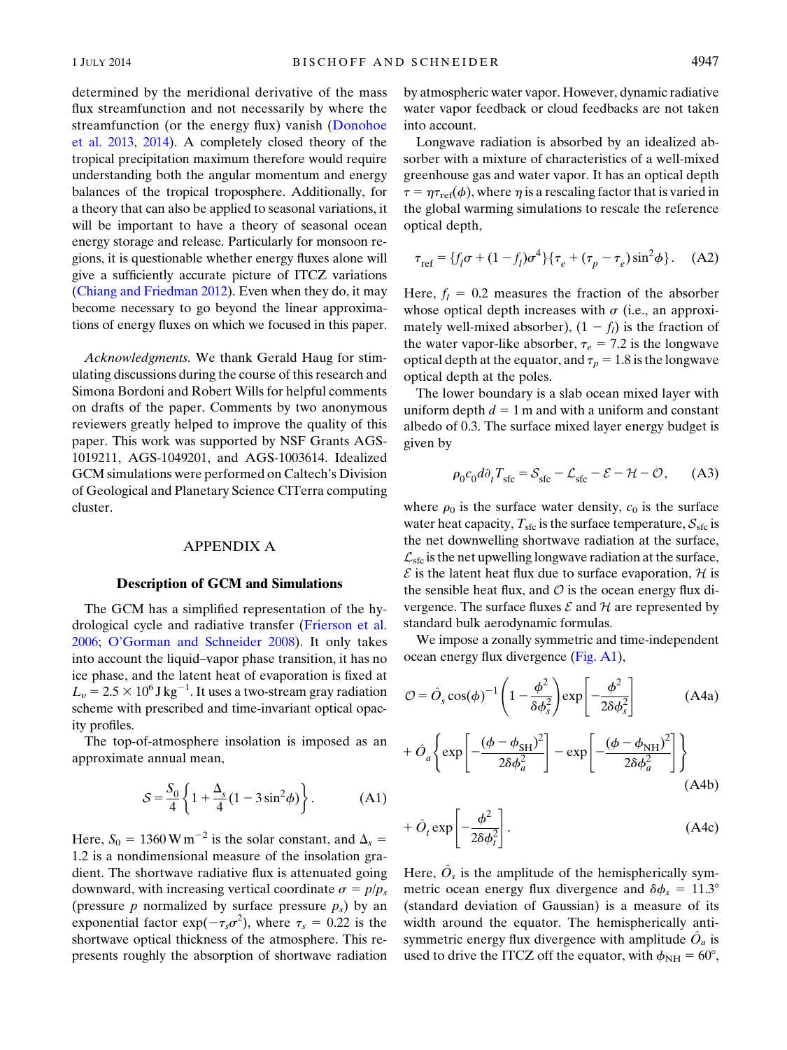determined by the meridional derivative of the mass flux streamfunction and not necessarily by where the streamfunction (or the energy flux) vanish ([Donohoe](#page-13-9) [et al. 2013](#page-13-9), [2014\)](#page-13-10). A completely closed theory of the tropical precipitation maximum therefore would require understanding both the angular momentum and energy balances of the tropical troposphere. Additionally, for a theory that can also be applied to seasonal variations, it will be important to have a theory of seasonal ocean energy storage and release. Particularly for monsoon regions, it is questionable whether energy fluxes alone will give a sufficiently accurate picture of ITCZ variations [\(Chiang and Friedman 2012\)](#page-13-4). Even when they do, it may become necessary to go beyond the linear approximations of energy fluxes on which we focused in this paper.

Acknowledgments. We thank Gerald Haug for stimulating discussions during the course of this research and Simona Bordoni and Robert Wills for helpful comments on drafts of the paper. Comments by two anonymous reviewers greatly helped to improve the quality of this paper. This work was supported by NSF Grants AGS-1019211, AGS-1049201, and AGS-1003614. Idealized GCM simulations were performed on Caltech's Division of Geological and Planetary Science CITerra computing cluster.

# APPENDIX A

#### <span id="page-10-0"></span>Description of GCM and Simulations

The GCM has a simplified representation of the hydrological cycle and radiative transfer [\(Frierson et al.](#page-13-17) [2006;](#page-13-17) [O'Gorman and Schneider 2008](#page-14-11)). It only takes into account the liquid–vapor phase transition, it has no ice phase, and the latent heat of evaporation is fixed at  $L_v = 2.5 \times 10^6 \,\mathrm{J\,kg^{-1}}$ . It uses a two-stream gray radiation scheme with prescribed and time-invariant optical opacity profiles.

The top-of-atmosphere insolation is imposed as an approximate annual mean,

$$
S = \frac{S_0}{4} \left\{ 1 + \frac{\Delta_s}{4} (1 - 3 \sin^2 \phi) \right\}.
$$
 (A1)

Here,  $S_0 = 1360 \text{ W m}^{-2}$  is the solar constant, and  $\Delta_s =$ 1.2 is a nondimensional measure of the insolation gradient. The shortwave radiative flux is attenuated going downward, with increasing vertical coordinate  $\sigma = p/p_s$ (pressure p normalized by surface pressure  $p_s$ ) by an exponential factor  $\exp(-\tau_s\sigma^2)$ , where  $\tau_s = 0.22$  is the shortwave optical thickness of the atmosphere. This represents roughly the absorption of shortwave radiation by atmospheric water vapor. However, dynamic radiative water vapor feedback or cloud feedbacks are not taken into account.

Longwave radiation is absorbed by an idealized absorber with a mixture of characteristics of a well-mixed greenhouse gas and water vapor. It has an optical depth  $\tau = \eta \tau_{ref}(\phi)$ , where  $\eta$  is a rescaling factor that is varied in the global warming simulations to rescale the reference optical depth,

$$
\tau_{\text{ref}} = \{f_l \sigma + (1 - f_l) \sigma^4\} \{\tau_e + (\tau_p - \tau_e) \sin^2 \phi\}. \tag{A2}
$$

Here,  $f_l = 0.2$  measures the fraction of the absorber whose optical depth increases with  $\sigma$  (i.e., an approximately well-mixed absorber),  $(1 - f_l)$  is the fraction of the water vapor-like absorber,  $\tau_e = 7.2$  is the longwave optical depth at the equator, and  $\tau_p = 1.8$  is the longwave optical depth at the poles.

The lower boundary is a slab ocean mixed layer with uniform depth  $d = 1$  m and with a uniform and constant albedo of 0.3. The surface mixed layer energy budget is given by

$$
\rho_0 c_0 d\partial_t T_{\text{stc}} = \mathcal{S}_{\text{stc}} - \mathcal{L}_{\text{stc}} - \mathcal{E} - \mathcal{H} - \mathcal{O}, \qquad \text{(A3)}
$$

where  $\rho_0$  is the surface water density,  $c_0$  is the surface water heat capacity,  $T_{\rm sfc}$  is the surface temperature,  $S_{\rm sfc}$  is the net downwelling shortwave radiation at the surface,  $\mathcal{L}_{\text{sfc}}$  is the net upwelling longwave radiation at the surface,  $\mathcal E$  is the latent heat flux due to surface evaporation,  $\mathcal H$  is the sensible heat flux, and  $\mathcal O$  is the ocean energy flux divergence. The surface fluxes  $\mathcal E$  and  $\mathcal H$  are represented by standard bulk aerodynamic formulas.

<span id="page-10-1"></span>We impose a zonally symmetric and time-independent ocean energy flux divergence ([Fig. A1\)](#page-11-1),

$$
\mathcal{O} = \hat{O}_s \cos(\phi)^{-1} \left( 1 - \frac{\phi^2}{\delta \phi_s^2} \right) \exp \left[ -\frac{\phi^2}{2\delta \phi_s^2} \right] \tag{A4a}
$$

<span id="page-10-2"></span>
$$
+\hat{O}_a \left\{ \exp \left[ -\frac{(\phi - \phi_{\text{SH}})^2}{2\delta \phi_a^2} \right] - \exp \left[ -\frac{(\phi - \phi_{\text{NH}})^2}{2\delta \phi_a^2} \right] \right\}
$$
(A4b)

<span id="page-10-3"></span>
$$
+\hat{O}_t \exp\left[-\frac{\phi^2}{2\delta\phi_t^2}\right].
$$
\n(A4c)

Here,  $\hat{O}_s$  is the amplitude of the hemispherically symmetric ocean energy flux divergence and  $\delta \phi_s = 11.3^\circ$ (standard deviation of Gaussian) is a measure of its width around the equator. The hemispherically antisymmetric energy flux divergence with amplitude  $O<sub>a</sub>$  is used to drive the ITCZ off the equator, with  $\phi_{NH} = 60^{\circ}$ ,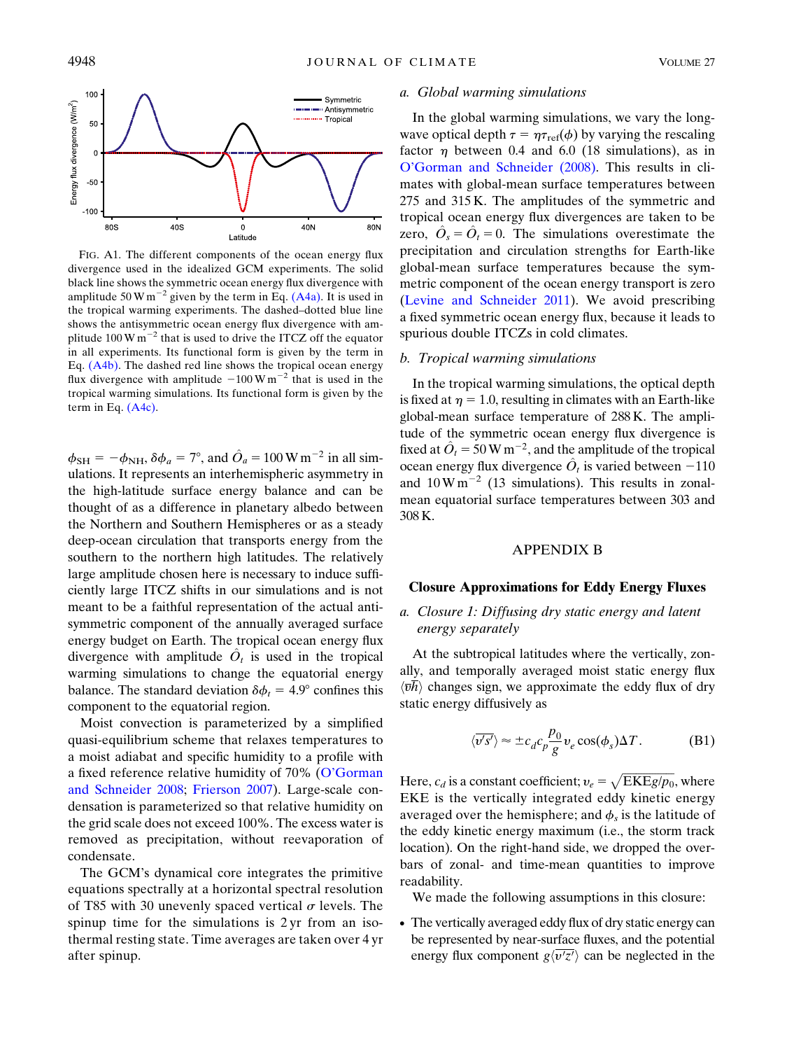<span id="page-11-1"></span>

FIG. A1. The different components of the ocean energy flux divergence used in the idealized GCM experiments. The solid black line shows the symmetric ocean energy flux divergence with amplitude 50 W m<sup>-2</sup> given by the term in Eq.  $(A4a)$ . It is used in the tropical warming experiments. The dashed–dotted blue line shows the antisymmetric ocean energy flux divergence with amplitude  $100 \text{ W m}^{-2}$  that is used to drive the ITCZ off the equator in all experiments. Its functional form is given by the term in Eq. [\(A4b\)](#page-10-2). The dashed red line shows the tropical ocean energy flux divergence with amplitude  $-100 \,\mathrm{W m}^{-2}$  that is used in the tropical warming simulations. Its functional form is given by the term in Eq.  $(A4c)$ .

 $\phi_{\text{SH}} = -\phi_{\text{NH}}$ ,  $\delta\phi_a = 7^\circ$ , and  $\hat{O}_a = 100 \,\text{W m}^{-2}$  in all simulations. It represents an interhemispheric asymmetry in the high-latitude surface energy balance and can be thought of as a difference in planetary albedo between the Northern and Southern Hemispheres or as a steady deep-ocean circulation that transports energy from the southern to the northern high latitudes. The relatively large amplitude chosen here is necessary to induce sufficiently large ITCZ shifts in our simulations and is not meant to be a faithful representation of the actual antisymmetric component of the annually averaged surface energy budget on Earth. The tropical ocean energy flux divergence with amplitude  $\ddot{O}_t$  is used in the tropical warming simulations to change the equatorial energy balance. The standard deviation  $\delta \phi_t = 4.9^\circ$  confines this component to the equatorial region.

Moist convection is parameterized by a simplified quasi-equilibrium scheme that relaxes temperatures to a moist adiabat and specific humidity to a profile with a fixed reference relative humidity of 70% ([O'Gorman](#page-14-11) [and Schneider 2008](#page-14-11); [Frierson 2007\)](#page-13-18). Large-scale condensation is parameterized so that relative humidity on the grid scale does not exceed 100%. The excess water is removed as precipitation, without reevaporation of condensate.

The GCM's dynamical core integrates the primitive equations spectrally at a horizontal spectral resolution of T85 with 30 unevenly spaced vertical  $\sigma$  levels. The spinup time for the simulations is 2 yr from an isothermal resting state. Time averages are taken over 4 yr after spinup.

#### a. Global warming simulations

In the global warming simulations, we vary the longwave optical depth  $\tau = \eta \tau_{ref}(\phi)$  by varying the rescaling factor  $\eta$  between 0.4 and 6.0 (18 simulations), as in [O'Gorman and Schneider \(2008\)](#page-14-11). This results in climates with global-mean surface temperatures between 275 and 315 K. The amplitudes of the symmetric and tropical ocean energy flux divergences are taken to be zero,  $O_s = O_t = 0$ . The simulations overestimate the precipitation and circulation strengths for Earth-like global-mean surface temperatures because the symmetric component of the ocean energy transport is zero ([Levine and Schneider 2011\)](#page-14-14). We avoid prescribing a fixed symmetric ocean energy flux, because it leads to spurious double ITCZs in cold climates.

### b. Tropical warming simulations

In the tropical warming simulations, the optical depth is fixed at  $\eta = 1.0$ , resulting in climates with an Earth-like global-mean surface temperature of 288 K. The amplitude of the symmetric ocean energy flux divergence is fixed at  $\hat{O}_t = 50 \,\mathrm{W m^{-2}}$ , and the amplitude of the tropical ocean energy flux divergence  $\hat{O}_t$  is varied between -110 and  $10 \,\mathrm{W\,m}^{-2}$  (13 simulations). This results in zonalmean equatorial surface temperatures between 303 and 308 K.

# APPENDIX B

#### <span id="page-11-0"></span>Closure Approximations for Eddy Energy Fluxes

# a. Closure 1: Diffusing dry static energy and latent energy separately

<span id="page-11-2"></span>At the subtropical latitudes where the vertically, zonally, and temporally averaged moist static energy flux  $\langle \overline{v}h \rangle$  changes sign, we approximate the eddy flux of dry static energy diffusively as

$$
\langle \overline{v's'} \rangle \approx \pm c_d c_p \frac{p_0}{g} v_e \cos(\phi_s) \Delta T. \tag{B1}
$$

Here,  $c_d$  is a constant coefficient;  $v_e = \sqrt{EKEg/p_0}$ , where EKE is the vertically integrated eddy kinetic energy averaged over the hemisphere; and  $\phi_s$  is the latitude of the eddy kinetic energy maximum (i.e., the storm track location). On the right-hand side, we dropped the overbars of zonal- and time-mean quantities to improve readability.

We made the following assumptions in this closure:

• The vertically averaged eddy flux of dry static energy can be represented by near-surface fluxes, and the potential energy flux component  $g\langle v'z'\rangle$  can be neglected in the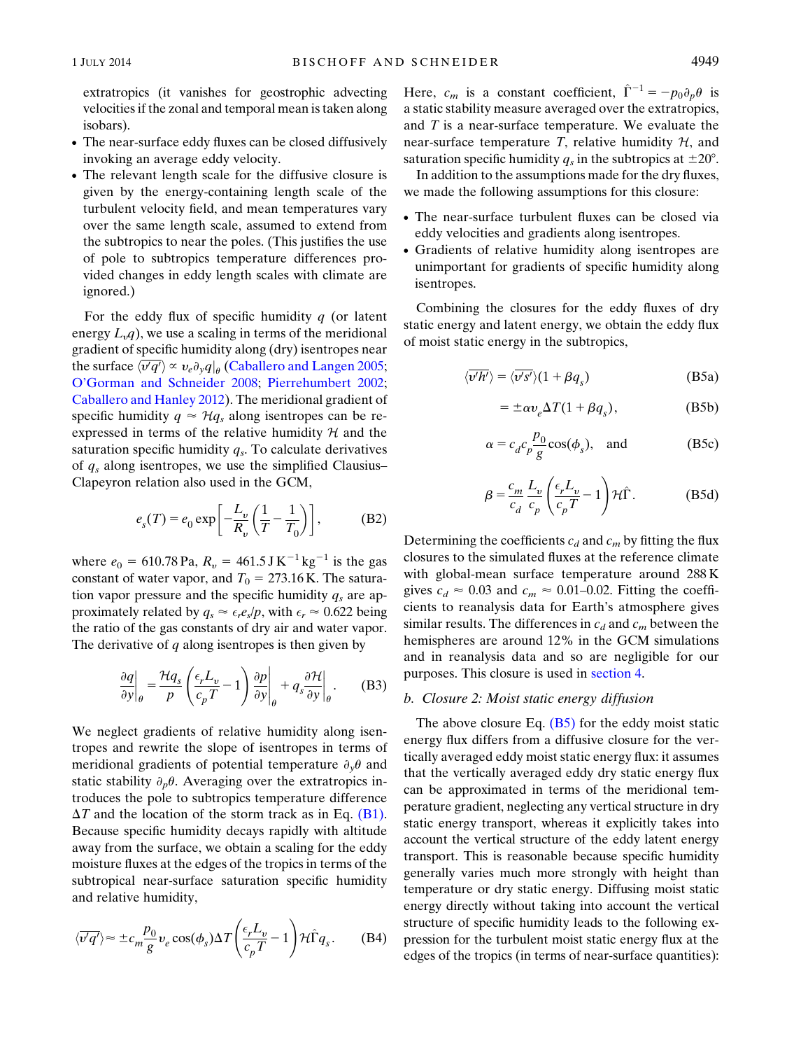extratropics (it vanishes for geostrophic advecting velocities if the zonal and temporal mean is taken along isobars).

- The near-surface eddy fluxes can be closed diffusively invoking an average eddy velocity.
- The relevant length scale for the diffusive closure is given by the energy-containing length scale of the turbulent velocity field, and mean temperatures vary over the same length scale, assumed to extend from the subtropics to near the poles. (This justifies the use of pole to subtropics temperature differences provided changes in eddy length scales with climate are ignored.)

For the eddy flux of specific humidity  $q$  (or latent energy  $L_v q$ , we use a scaling in terms of the meridional gradient of specific humidity along (dry) isentropes near the surface  $\langle v'q'\rangle \propto v_e \partial_y q|_{\theta}$  ([Caballero and Langen 2005;](#page-13-19)<br>Q'Gorman, and Schneider 2008; Pierrehumbert 2002; [O'Gorman and Schneider 2008;](#page-14-11) [Pierrehumbert 2002;](#page-14-16) [Caballero and Hanley 2012\)](#page-13-20). The meridional gradient of specific humidity  $q \approx Hq_s$  along isentropes can be reexpressed in terms of the relative humidity  $H$  and the saturation specific humidity  $q_s$ . To calculate derivatives of  $q_s$  along isentropes, we use the simplified Clausius– Clapeyron relation also used in the GCM,

$$
e_s(T) = e_0 \exp\left[-\frac{L_v}{R_v}\left(\frac{1}{T} - \frac{1}{T_0}\right)\right],
$$
 (B2)

where  $e_0 = 610.78$  Pa,  $R_v = 461.5$  J K<sup>-1</sup> kg<sup>-1</sup> is the gas constant of water vapor, and  $T_0 = 273.16$  K. The saturation vapor pressure and the specific humidity  $q_s$  are approximately related by  $q_s \approx \epsilon_r e_s / p$ , with  $\epsilon_r \approx 0.622$  being the ratio of the gas constants of dry air and water vapor. The derivative of  $q$  along isentropes is then given by

$$
\left. \frac{\partial q}{\partial y} \right|_{\theta} = \frac{\mathcal{H}q_s}{p} \left( \frac{\epsilon_r L_v}{c_p T} - 1 \right) \left. \frac{\partial p}{\partial y} \right|_{\theta} + q_s \frac{\partial \mathcal{H}}{\partial y} \right|_{\theta} . \tag{B3}
$$

We neglect gradients of relative humidity along isentropes and rewrite the slope of isentropes in terms of meridional gradients of potential temperature  $\partial_{\nu}\theta$  and static stability  $\partial_p \theta$ . Averaging over the extratropics introduces the pole to subtropics temperature difference  $\Delta T$  and the location of the storm track as in Eq. [\(B1\).](#page-11-2) Because specific humidity decays rapidly with altitude away from the surface, we obtain a scaling for the eddy moisture fluxes at the edges of the tropics in terms of the subtropical near-surface saturation specific humidity and relative humidity,

$$
\langle \overline{v'q'} \rangle \approx \pm c_m \frac{p_0}{g} v_e \cos(\phi_s) \Delta T \left( \frac{\epsilon_r L_v}{c_p T} - 1 \right) \mathcal{H} \hat{\Gamma} q_s. \tag{B4}
$$

Here,  $c_m$  is a constant coefficient,  $\hat{\Gamma}^{-1} = -p_0 \partial_p \theta$  is a static stability measure averaged over the extratropics, and  $T$  is a near-surface temperature. We evaluate the near-surface temperature T, relative humidity  $H$ , and saturation specific humidity  $q_s$  in the subtropics at  $\pm 20^\circ$ .

In addition to the assumptions made for the dry fluxes, we made the following assumptions for this closure:

- The near-surface turbulent fluxes can be closed via eddy velocities and gradients along isentropes.
- Gradients of relative humidity along isentropes are unimportant for gradients of specific humidity along isentropes.

<span id="page-12-0"></span>Combining the closures for the eddy fluxes of dry static energy and latent energy, we obtain the eddy flux of moist static energy in the subtropics,

$$
\langle \overline{v'h'} \rangle = \langle \overline{v's'} \rangle (1 + \beta q_s)
$$
 (B5a)

$$
= \pm \alpha v_e \Delta T (1 + \beta q_s), \tag{B5b}
$$

$$
\alpha = c_d c_p \frac{p_0}{g} \cos(\phi_s), \text{ and } (B5c)
$$

$$
\beta = \frac{c_m}{c_d} \frac{L_v}{c_p} \left( \frac{\epsilon_r L_v}{c_p T} - 1 \right) \mathcal{H} \hat{\Gamma}.
$$
 (B5d)

Determining the coefficients  $c_d$  and  $c_m$  by fitting the flux closures to the simulated fluxes at the reference climate with global-mean surface temperature around 288 K gives  $c_d \approx 0.03$  and  $c_m \approx 0.01$ –0.02. Fitting the coefficients to reanalysis data for Earth's atmosphere gives similar results. The differences in  $c_d$  and  $c_m$  between the hemispheres are around 12% in the GCM simulations and in reanalysis data and so are negligible for our purposes. This closure is used in [section 4](#page-6-2).

#### b. Closure 2: Moist static energy diffusion

The above closure Eq.  $(B5)$  for the eddy moist static energy flux differs from a diffusive closure for the vertically averaged eddy moist static energy flux: it assumes that the vertically averaged eddy dry static energy flux can be approximated in terms of the meridional temperature gradient, neglecting any vertical structure in dry static energy transport, whereas it explicitly takes into account the vertical structure of the eddy latent energy transport. This is reasonable because specific humidity generally varies much more strongly with height than temperature or dry static energy. Diffusing moist static energy directly without taking into account the vertical structure of specific humidity leads to the following expression for the turbulent moist static energy flux at the edges of the tropics (in terms of near-surface quantities):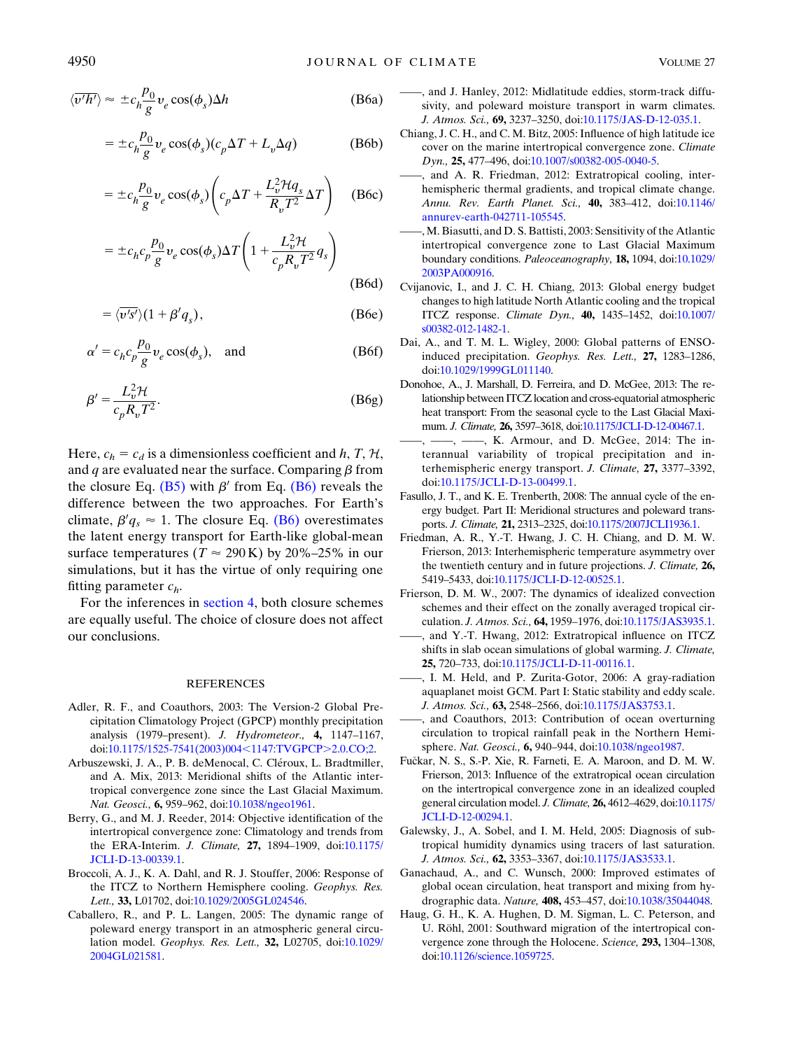<span id="page-13-23"></span>
$$
\langle \overline{v'h'} \rangle \approx \pm c_h \frac{p_0}{g} v_e \cos(\phi_s) \Delta h \tag{B6a}
$$

$$
= \pm c_h \frac{p_0}{g} v_e \cos(\phi_s) (c_p \Delta T + L_v \Delta q)
$$
 (B6b)

$$
= \pm c_h \frac{p_0}{g} v_e \cos(\phi_s) \left( c_p \Delta T + \frac{L_v^2 \mathcal{H} q_s}{R_v T^2} \Delta T \right) \quad \text{(B6c)}
$$

$$
= \pm c_h c_p \frac{p_0}{g} v_e \cos(\phi_s) \Delta T \left( 1 + \frac{L_v^2 \mathcal{H}}{c_p R_v T^2} q_s \right)
$$
(B6d)

$$
= \langle \overline{v's'} \rangle (1 + \beta' q_s), \tag{B6e}
$$

$$
\alpha' = c_h c_p \frac{p_0}{g} v_e \cos(\phi_s), \text{ and } (B6f)
$$

$$
\beta' = \frac{L_v^2 \mathcal{H}}{c_p R_v T^2}.
$$
 (B6g)

Here,  $c_h = c_d$  is a dimensionless coefficient and h, T, H, and q are evaluated near the surface. Comparing  $\beta$  from the closure Eq. [\(B5\)](#page-12-0) with  $\beta'$  from Eq. [\(B6\)](#page-13-23) reveals the difference between the two approaches. For Earth's climate,  $\beta' q_s \approx 1$ . The closure Eq. [\(B6\)](#page-13-23) overestimates the latent energy transport for Earth-like global-mean surface temperatures ( $T \approx 290 \text{ K}$ ) by 20%–25% in our simulations, but it has the virtue of only requiring one fitting parameter  $c_h$ .

For the inferences in [section 4](#page-6-2), both closure schemes are equally useful. The choice of closure does not affect our conclusions.

#### **REFERENCES**

- <span id="page-13-0"></span>Adler, R. F., and Coauthors, 2003: The Version-2 Global Precipitation Climatology Project (GPCP) monthly precipitation analysis (1979–present). J. Hydrometeor., 4, 1147–1167, doi:[10.1175/1525-7541\(2003\)004](http://dx.doi.org/10.1175/1525-7541(2003)004<1147:TVGPCP>2.0.CO;2)<1147:TVGPCP>2.0.CO;2.
- <span id="page-13-3"></span>Arbuszewski, J. A., P. B. deMenocal, C. Cléroux, L. Bradtmiller, and A. Mix, 2013: Meridional shifts of the Atlantic intertropical convergence zone since the Last Glacial Maximum. Nat. Geosci., 6, 959–962, doi[:10.1038/ngeo1961](http://dx.doi.org/10.1038/ngeo1961).
- <span id="page-13-1"></span>Berry, G., and M. J. Reeder, 2014: Objective identification of the intertropical convergence zone: Climatology and trends from the ERA-Interim. J. Climate, 27, 1894–1909, doi[:10.1175/](http://dx.doi.org/10.1175/JCLI-D-13-00339.1) [JCLI-D-13-00339.1.](http://dx.doi.org/10.1175/JCLI-D-13-00339.1)
- <span id="page-13-7"></span>Broccoli, A. J., K. A. Dahl, and R. J. Stouffer, 2006: Response of the ITCZ to Northern Hemisphere cooling. Geophys. Res. Lett., 33, L01702, doi[:10.1029/2005GL024546](http://dx.doi.org/10.1029/2005GL024546).
- <span id="page-13-19"></span>Caballero, R., and P. L. Langen, 2005: The dynamic range of poleward energy transport in an atmospheric general circulation model. Geophys. Res. Lett., 32, L02705, doi[:10.1029/](http://dx.doi.org/10.1029/2004GL021581) [2004GL021581.](http://dx.doi.org/10.1029/2004GL021581)
- <span id="page-13-20"></span>——, and J. Hanley, 2012: Midlatitude eddies, storm-track diffusivity, and poleward moisture transport in warm climates. J. Atmos. Sci., 69, 3237–3250, doi[:10.1175/JAS-D-12-035.1](http://dx.doi.org/10.1175/JAS-D-12-035.1).
- <span id="page-13-6"></span>Chiang, J. C. H., and C. M. Bitz, 2005: Influence of high latitude ice cover on the marine intertropical convergence zone. Climate Dyn., 25, 477–496, doi[:10.1007/s00382-005-0040-5](http://dx.doi.org/10.1007/s00382-005-0040-5).
- <span id="page-13-4"></span>——, and A. R. Friedman, 2012: Extratropical cooling, interhemispheric thermal gradients, and tropical climate change. Annu. Rev. Earth Planet. Sci., 40, 383–412, doi[:10.1146/](http://dx.doi.org/10.1146/annurev-earth-042711-105545) [annurev-earth-042711-105545.](http://dx.doi.org/10.1146/annurev-earth-042711-105545)
- <span id="page-13-5"></span>——, M. Biasutti, and D. S. Battisti, 2003: Sensitivity of the Atlantic intertropical convergence zone to Last Glacial Maximum boundary conditions. Paleoceanography, 18, 1094, doi:[10.1029/](http://dx.doi.org/10.1029/2003PA000916) [2003PA000916](http://dx.doi.org/10.1029/2003PA000916).
- <span id="page-13-11"></span>Cvijanovic, I., and J. C. H. Chiang, 2013: Global energy budget changes to high latitude North Atlantic cooling and the tropical ITCZ response. Climate Dyn., 40, 1435–1452, doi:[10.1007/](http://dx.doi.org/10.1007/s00382-012-1482-1) [s00382-012-1482-1](http://dx.doi.org/10.1007/s00382-012-1482-1).
- <span id="page-13-12"></span>Dai, A., and T. M. L. Wigley, 2000: Global patterns of ENSOinduced precipitation. Geophys. Res. Lett., 27, 1283-1286, doi[:10.1029/1999GL011140.](http://dx.doi.org/10.1029/1999GL011140)
- <span id="page-13-9"></span>Donohoe, A., J. Marshall, D. Ferreira, and D. McGee, 2013: The relationship between ITCZ location and cross-equatorial atmospheric heat transport: From the seasonal cycle to the Last Glacial Maximum. J. Climate, 26, 3597–3618, doi:[10.1175/JCLI-D-12-00467.1.](http://dx.doi.org/10.1175/JCLI-D-12-00467.1)
- <span id="page-13-10"></span>——, ——, ——, K. Armour, and D. McGee, 2014: The interannual variability of tropical precipitation and interhemispheric energy transport. J. Climate, 27, 3377–3392, doi[:10.1175/JCLI-D-13-00499.1](http://dx.doi.org/10.1175/JCLI-D-13-00499.1).
- <span id="page-13-13"></span>Fasullo, J. T., and K. E. Trenberth, 2008: The annual cycle of the energy budget. Part II: Meridional structures and poleward trans-ports. J. Climate, 21, 2313-2325, doi[:10.1175/2007JCLI1936.1](http://dx.doi.org/10.1175/2007JCLI1936.1).
- <span id="page-13-22"></span>Friedman, A. R., Y.-T. Hwang, J. C. H. Chiang, and D. M. W. Frierson, 2013: Interhemispheric temperature asymmetry over the twentieth century and in future projections. J. Climate, 26, 5419–5433, doi[:10.1175/JCLI-D-12-00525.1.](http://dx.doi.org/10.1175/JCLI-D-12-00525.1)
- <span id="page-13-18"></span>Frierson, D. M. W., 2007: The dynamics of idealized convection schemes and their effect on the zonally averaged tropical circulation. J. Atmos. Sci., 64, 1959–1976, doi:[10.1175/JAS3935.1](http://dx.doi.org/10.1175/JAS3935.1).
- <span id="page-13-8"></span>——, and Y.-T. Hwang, 2012: Extratropical influence on ITCZ shifts in slab ocean simulations of global warming. J. Climate, 25, 720–733, doi[:10.1175/JCLI-D-11-00116.1](http://dx.doi.org/10.1175/JCLI-D-11-00116.1).
- <span id="page-13-17"></span>——, I. M. Held, and P. Zurita-Gotor, 2006: A gray-radiation aquaplanet moist GCM. Part I: Static stability and eddy scale. J. Atmos. Sci., 63, 2548–2566, doi[:10.1175/JAS3753.1](http://dx.doi.org/10.1175/JAS3753.1).
- <span id="page-13-14"></span>——, and Coauthors, 2013: Contribution of ocean overturning circulation to tropical rainfall peak in the Northern Hemisphere. Nat. Geosci., 6, 940–944, doi:[10.1038/ngeo1987](http://dx.doi.org/10.1038/ngeo1987).
- <span id="page-13-15"></span>Fučkar, N. S., S.-P. Xie, R. Farneti, E. A. Maroon, and D. M. W. Frierson, 2013: Influence of the extratropical ocean circulation on the intertropical convergence zone in an idealized coupled general circulation model. J. Climate, 26, 4612–4629, doi[:10.1175/](http://dx.doi.org/10.1175/JCLI-D-12-00294.1) [JCLI-D-12-00294.1](http://dx.doi.org/10.1175/JCLI-D-12-00294.1).
- <span id="page-13-21"></span>Galewsky, J., A. Sobel, and I. M. Held, 2005: Diagnosis of subtropical humidity dynamics using tracers of last saturation. J. Atmos. Sci., 62, 3353–3367, doi[:10.1175/JAS3533.1](http://dx.doi.org/10.1175/JAS3533.1).
- <span id="page-13-16"></span>Ganachaud, A., and C. Wunsch, 2000: Improved estimates of global ocean circulation, heat transport and mixing from hydrographic data. Nature, 408, 453–457, doi:[10.1038/35044048](http://dx.doi.org/10.1038/35044048).
- <span id="page-13-2"></span>Haug, G. H., K. A. Hughen, D. M. Sigman, L. C. Peterson, and U. Röhl, 2001: Southward migration of the intertropical convergence zone through the Holocene. Science, 293, 1304–1308, doi:[10.1126/science.1059725](http://dx.doi.org/10.1126/science.1059725).